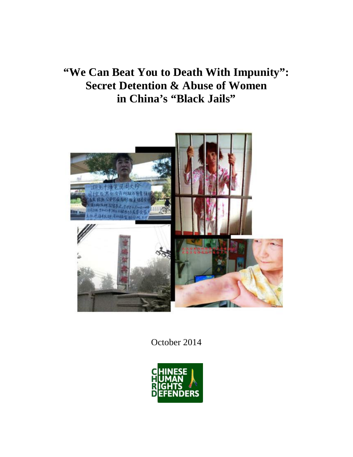# **"We Can Beat You to Death With Impunity": Secret Detention & Abuse of Women in China's "Black Jails"**



October 2014

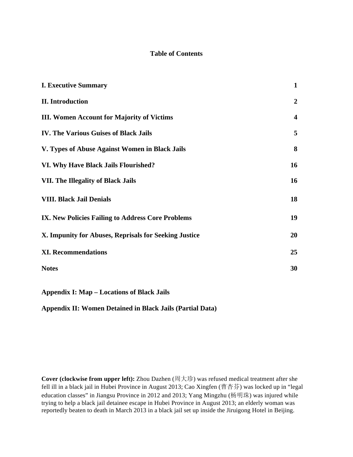## **Table of Contents**

| <b>I. Executive Summary</b>                           | $\mathbf{1}$            |
|-------------------------------------------------------|-------------------------|
| <b>II.</b> Introduction                               | $\boldsymbol{2}$        |
| <b>III. Women Account for Majority of Victims</b>     | $\overline{\mathbf{4}}$ |
| <b>IV. The Various Guises of Black Jails</b>          | 5                       |
| V. Types of Abuse Against Women in Black Jails        | 8                       |
| VI. Why Have Black Jails Flourished?                  | 16                      |
| <b>VII. The Illegality of Black Jails</b>             | 16                      |
| <b>VIII. Black Jail Denials</b>                       | 18                      |
| IX. New Policies Failing to Address Core Problems     | 19                      |
| X. Impunity for Abuses, Reprisals for Seeking Justice | 20                      |
| <b>XI. Recommendations</b>                            | 25                      |
| <b>Notes</b>                                          | 30                      |
|                                                       |                         |

**Appendix I: Map – Locations of Black Jails**

**Appendix II: Women Detained in Black Jails (Partial Data)** 

**Cover (clockwise from upper left):** Zhou Dazhen (周大珍) was refused medical treatment after she fell ill in a black jail in Hubei Province in August 2013; Cao Xingfen (曹杏芬) was locked up in "legal education classes" in Jiangsu Province in 2012 and 2013; Yang Mingzhu (杨明珠) was injured while trying to help a black jail detainee escape in Hubei Province in August 2013; an elderly woman was reportedly beaten to death in March 2013 in a black jail set up inside the Jiruigong Hotel in Beijing.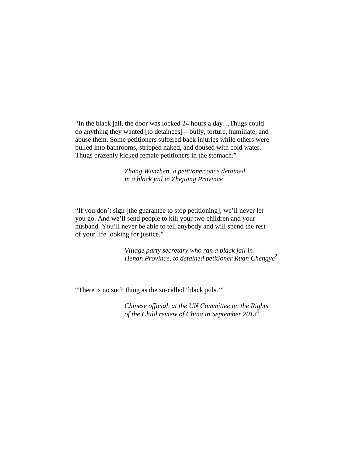"In the black jail, the door was locked 24 hours a day…Thugs could do anything they wanted [to detainees]—bully, torture, humiliate, and abuse them. Some petitioners suffered back injuries while others were pulled into bathrooms, stripped naked, and doused with cold water. Thugs brazenly kicked female petitioners in the stomach."

> *Zhang Wanzhen, a petitioner once detained in a black jail in Zhejiang Province*<sup>1</sup>

"If you don't sign [the guarantee to stop petitioning], we'll never let you go. And we'll send people to kill your two children and your husband. You'll never be able to tell anybody and will spend the rest of your life looking for justice."

> *Village party secretary who ran a black jail in Henan Province, to detained petitioner Ruan Chengye*<sup>2</sup>

"There is no such thing as the so-called 'black jails.'"

*Chinese official, at the UN Committee on the Rights of the Child review of China in September 2013*<sup>3</sup>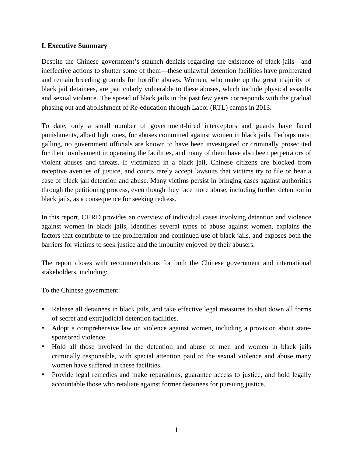# **I. Executive Summary**

Despite the Chinese government's staunch denials regarding the existence of black jails—and ineffective actions to shutter some of them—these unlawful detention facilities have proliferated and remain breeding grounds for horrific abuses. Women, who make up the great majority of black jail detainees, are particularly vulnerable to these abuses, which include physical assaults and sexual violence. The spread of black jails in the past few years corresponds with the gradual phasing out and abolishment of Re-education through Labor (RTL) camps in 2013.

To date, only a small number of government-hired interceptors and guards have faced punishments, albeit light ones, for abuses committed against women in black jails. Perhaps most galling, no government officials are known to have been investigated or criminally prosecuted for their involvement in operating the facilities, and many of them have also been perpetrators of violent abuses and threats. If victimized in a black jail, Chinese citizens are blocked from receptive avenues of justice, and courts rarely accept lawsuits that victims try to file or hear a case of black jail detention and abuse. Many victims persist in bringing cases against authorities through the petitioning process, even though they face more abuse, including further detention in black jails, as a consequence for seeking redress.

In this report, CHRD provides an overview of individual cases involving detention and violence against women in black jails, identifies several types of abuse against women, explains the factors that contribute to the proliferation and continued use of black jails, and exposes both the barriers for victims to seek justice and the impunity enjoyed by their abusers.

The report closes with recommendations for both the Chinese government and international stakeholders, including:

To the Chinese government:

- Release all detainees in black jails, and take effective legal measures to shut down all forms of secret and extrajudicial detention facilities.
- Adopt a comprehensive law on violence against women, including a provision about statesponsored violence.
- Hold all those involved in the detention and abuse of men and women in black jails criminally responsible, with special attention paid to the sexual violence and abuse many women have suffered in these facilities.
- Provide legal remedies and make reparations, guarantee access to justice, and hold legally accountable those who retaliate against former detainees for pursuing justice.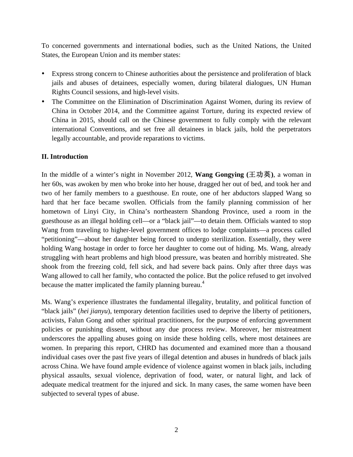To concerned governments and international bodies, such as the United Nations, the United States, the European Union and its member states:

- Express strong concern to Chinese authorities about the persistence and proliferation of black jails and abuses of detainees, especially women, during bilateral dialogues, UN Human Rights Council sessions, and high-level visits.
- The Committee on the Elimination of Discrimination Against Women, during its review of China in October 2014, and the Committee against Torture, during its expected review of China in 2015, should call on the Chinese government to fully comply with the relevant international Conventions, and set free all detainees in black jails, hold the perpetrators legally accountable, and provide reparations to victims.

# **II. Introduction**

In the middle of a winter's night in November 2012, **Wang Gongying** ( $\pm \pi \ddot{\mathbf{\mu}}$ ), a woman in her 60s, was awoken by men who broke into her house, dragged her out of bed, and took her and two of her family members to a guesthouse. En route, one of her abductors slapped Wang so hard that her face became swollen. Officials from the family planning commission of her hometown of Linyi City, in China's northeastern Shandong Province, used a room in the guesthouse as an illegal holding cell—or a "black jail"—to detain them. Officials wanted to stop Wang from traveling to higher-level government offices to lodge complaints—a process called "petitioning"—about her daughter being forced to undergo sterilization. Essentially, they were holding Wang hostage in order to force her daughter to come out of hiding. Ms. Wang, already struggling with heart problems and high blood pressure, was beaten and horribly mistreated. She shook from the freezing cold, fell sick, and had severe back pains. Only after three days was Wang allowed to call her family, who contacted the police. But the police refused to get involved because the matter implicated the family planning bureau.<sup>4</sup>

Ms. Wang's experience illustrates the fundamental illegality, brutality, and political function of "black jails" (*hei jianyu*), temporary detention facilities used to deprive the liberty of petitioners, activists, Falun Gong and other spiritual practitioners, for the purpose of enforcing government policies or punishing dissent, without any due process review. Moreover, her mistreatment underscores the appalling abuses going on inside these holding cells, where most detainees are women. In preparing this report, CHRD has documented and examined more than a thousand individual cases over the past five years of illegal detention and abuses in hundreds of black jails across China. We have found ample evidence of violence against women in black jails, including physical assaults, sexual violence, deprivation of food, water, or natural light, and lack of adequate medical treatment for the injured and sick. In many cases, the same women have been subjected to several types of abuse.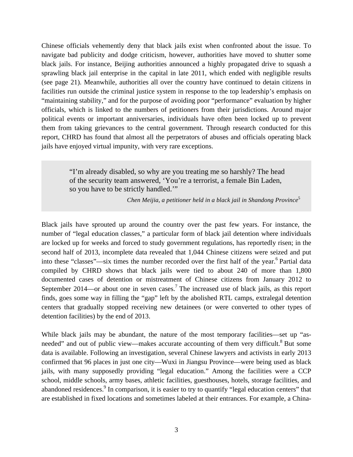Chinese officials vehemently deny that black jails exist when confronted about the issue. To navigate bad publicity and dodge criticism, however, authorities have moved to shutter some black jails. For instance, Beijing authorities announced a highly propagated drive to squash a sprawling black jail enterprise in the capital in late 2011, which ended with negligible results (see page 21). Meanwhile, authorities all over the country have continued to detain citizens in facilities run outside the criminal justice system in response to the top leadership's emphasis on "maintaining stability," and for the purpose of avoiding poor "performance" evaluation by higher officials, which is linked to the numbers of petitioners from their jurisdictions. Around major political events or important anniversaries, individuals have often been locked up to prevent them from taking grievances to the central government. Through research conducted for this report, CHRD has found that almost all the perpetrators of abuses and officials operating black jails have enjoyed virtual impunity, with very rare exceptions.

> "I'm already disabled, so why are you treating me so harshly? The head of the security team answered, 'You're a terrorist, a female Bin Laden, so you have to be strictly handled.'"

> > *Chen Meijia, a petitioner held in a black jail in Shandong Province* 5

Black jails have sprouted up around the country over the past few years. For instance, the number of "legal education classes," a particular form of black jail detention where individuals are locked up for weeks and forced to study government regulations, has reportedly risen; in the second half of 2013, incomplete data revealed that 1,044 Chinese citizens were seized and put into these "classes"—six times the number recorded over the first half of the year.<sup>6</sup> Partial data compiled by CHRD shows that black jails were tied to about 240 of more than 1,800 documented cases of detention or mistreatment of Chinese citizens from January 2012 to September 2014—or about one in seven cases.<sup>7</sup> The increased use of black jails, as this report finds, goes some way in filling the "gap" left by the abolished RTL camps, extralegal detention centers that gradually stopped receiving new detainees (or were converted to other types of detention facilities) by the end of 2013.

While black jails may be abundant, the nature of the most temporary facilities—set up "asneeded" and out of public view—makes accurate accounting of them very difficult.<sup>8</sup> But some data is available. Following an investigation, several Chinese lawyers and activists in early 2013 confirmed that 96 places in just one city—Wuxi in Jiangsu Province—were being used as black jails, with many supposedly providing "legal education." Among the facilities were a CCP school, middle schools, army bases, athletic facilities, guesthouses, hotels, storage facilities, and abandoned residences.<sup>9</sup> In comparison, it is easier to try to quantify "legal education centers" that are established in fixed locations and sometimes labeled at their entrances. For example, a China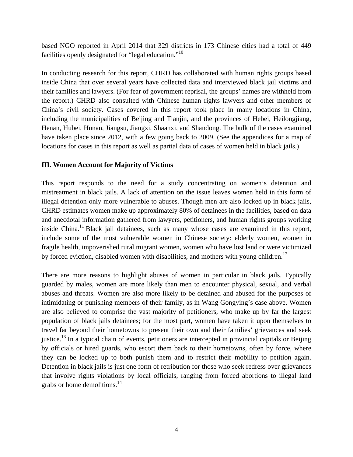based NGO reported in April 2014 that 329 districts in 173 Chinese cities had a total of 449 facilities openly designated for "legal education."<sup>10</sup>

In conducting research for this report, CHRD has collaborated with human rights groups based inside China that over several years have collected data and interviewed black jail victims and their families and lawyers. (For fear of government reprisal, the groups' names are withheld from the report.) CHRD also consulted with Chinese human rights lawyers and other members of China's civil society. Cases covered in this report took place in many locations in China, including the municipalities of Beijing and Tianjin, and the provinces of Hebei, Heilongjiang, Henan, Hubei, Hunan, Jiangsu, Jiangxi, Shaanxi, and Shandong. The bulk of the cases examined have taken place since 2012, with a few going back to 2009. (See the appendices for a map of locations for cases in this report as well as partial data of cases of women held in black jails.)

## **III. Women Account for Majority of Victims**

This report responds to the need for a study concentrating on women's detention and mistreatment in black jails. A lack of attention on the issue leaves women held in this form of illegal detention only more vulnerable to abuses. Though men are also locked up in black jails, CHRD estimates women make up approximately 80% of detainees in the facilities, based on data and anecdotal information gathered from lawyers, petitioners, and human rights groups working inside China.<sup>11</sup> Black jail detainees, such as many whose cases are examined in this report, include some of the most vulnerable women in Chinese society: elderly women, women in fragile health, impoverished rural migrant women, women who have lost land or were victimized by forced eviction, disabled women with disabilities, and mothers with young children.<sup>12</sup>

There are more reasons to highlight abuses of women in particular in black jails. Typically guarded by males, women are more likely than men to encounter physical, sexual, and verbal abuses and threats. Women are also more likely to be detained and abused for the purposes of intimidating or punishing members of their family, as in Wang Gongying's case above. Women are also believed to comprise the vast majority of petitioners, who make up by far the largest population of black jails detainees; for the most part, women have taken it upon themselves to travel far beyond their hometowns to present their own and their families' grievances and seek justice.<sup>13</sup> In a typical chain of events, petitioners are intercepted in provincial capitals or Beijing by officials or hired guards, who escort them back to their hometowns, often by force, where they can be locked up to both punish them and to restrict their mobility to petition again. Detention in black jails is just one form of retribution for those who seek redress over grievances that involve rights violations by local officials, ranging from forced abortions to illegal land grabs or home demolitions.<sup>14</sup>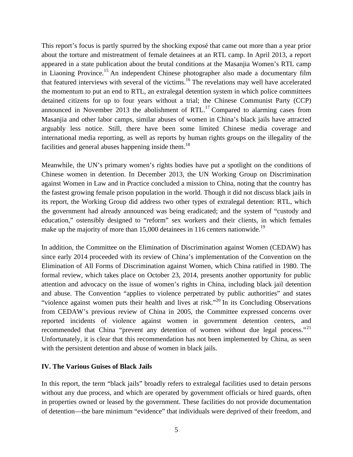This report's focus is partly spurred by the shocking exposé that came out more than a year prior about the torture and mistreatment of female detainees at an RTL camp. In April 2013, a report appeared in a state publication about the brutal conditions at the Masanjia Women's RTL camp in Liaoning Province.<sup>15</sup> An independent Chinese photographer also made a documentary film that featured interviews with several of the victims.<sup>16</sup> The revelations may well have accelerated the momentum to put an end to RTL, an extralegal detention system in which police committees detained citizens for up to four years without a trial; the Chinese Communist Party (CCP) announced in November 2013 the abolishment of RTL.<sup>17</sup> Compared to alarming cases from Masanjia and other labor camps, similar abuses of women in China's black jails have attracted arguably less notice. Still, there have been some limited Chinese media coverage and international media reporting, as well as reports by human rights groups on the illegality of the facilities and general abuses happening inside them.<sup>18</sup>

Meanwhile, the UN's primary women's rights bodies have put a spotlight on the conditions of Chinese women in detention. In December 2013, the UN Working Group on Discrimination against Women in Law and in Practice concluded a mission to China, noting that the country has the fastest growing female prison population in the world. Though it did not discuss black jails in its report, the Working Group did address two other types of extralegal detention: RTL, which the government had already announced was being eradicated; and the system of "custody and education," ostensibly designed to "reform" sex workers and their clients, in which females make up the majority of more than 15,000 detainees in 116 centers nationwide.<sup>19</sup>

In addition, the Committee on the Elimination of Discrimination against Women (CEDAW) has since early 2014 proceeded with its review of China's implementation of the Convention on the Elimination of All Forms of Discrimination against Women, which China ratified in 1980. The formal review, which takes place on October 23, 2014, presents another opportunity for public attention and advocacy on the issue of women's rights in China, including black jail detention and abuse. The Convention "applies to violence perpetrated by public authorities" and states "violence against women puts their health and lives at risk."<sup>20</sup> In its Concluding Observations from CEDAW's previous review of China in 2005, the Committee expressed concerns over reported incidents of violence against women in government detention centers, and recommended that China "prevent any detention of women without due legal process."<sup>21</sup> Unfortunately, it is clear that this recommendation has not been implemented by China, as seen with the persistent detention and abuse of women in black jails.

#### **IV. The Various Guises of Black Jails**

In this report, the term "black jails" broadly refers to extralegal facilities used to detain persons without any due process, and which are operated by government officials or hired guards, often in properties owned or leased by the government. These facilities do not provide documentation of detention—the bare minimum "evidence" that individuals were deprived of their freedom, and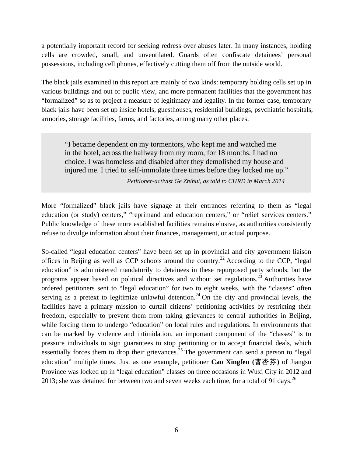a potentially important record for seeking redress over abuses later. In many instances, holding cells are crowded, small, and unventilated. Guards often confiscate detainees' personal possessions, including cell phones, effectively cutting them off from the outside world.

The black jails examined in this report are mainly of two kinds: temporary holding cells set up in various buildings and out of public view, and more permanent facilities that the government has "formalized" so as to project a measure of legitimacy and legality. In the former case, temporary black jails have been set up inside hotels, guesthouses, residential buildings, psychiatric hospitals, armories, storage facilities, farms, and factories, among many other places.

"I became dependent on my tormentors, who kept me and watched me in the hotel, across the hallway from my room, for 18 months. I had no choice. I was homeless and disabled after they demolished my house and injured me. I tried to self-immolate three times before they locked me up."

*Petitioner-activist Ge Zhihui, as told to CHRD in March 2014*

More "formalized" black jails have signage at their entrances referring to them as "legal education (or study) centers," "reprimand and education centers," or "relief services centers." Public knowledge of these more established facilities remains elusive, as authorities consistently refuse to divulge information about their finances, management, or actual purpose.

So-called "legal education centers" have been set up in provincial and city government liaison offices in Beijing as well as CCP schools around the country.<sup>22</sup> According to the CCP, "legal" education" is administered mandatorily to detainees in these repurposed party schools, but the programs appear based on political directives and without set regulations.<sup>23</sup> Authorities have ordered petitioners sent to "legal education" for two to eight weeks, with the "classes" often serving as a pretext to legitimize unlawful detention.<sup>24</sup> On the city and provincial levels, the facilities have a primary mission to curtail citizens' petitioning activities by restricting their freedom, especially to prevent them from taking grievances to central authorities in Beijing, while forcing them to undergo "education" on local rules and regulations. In environments that can be marked by violence and intimidation, an important component of the "classes" is to pressure individuals to sign guarantees to stop petitioning or to accept financial deals, which essentially forces them to drop their grievances.<sup>25</sup> The government can send a person to "legal education" multiple times. Just as one example, petitioner **Cao Xingfen** (曹杏芬) of Jiangsu Province was locked up in "legal education" classes on three occasions in Wuxi City in 2012 and 2013; she was detained for between two and seven weeks each time, for a total of 91 days.<sup>26</sup>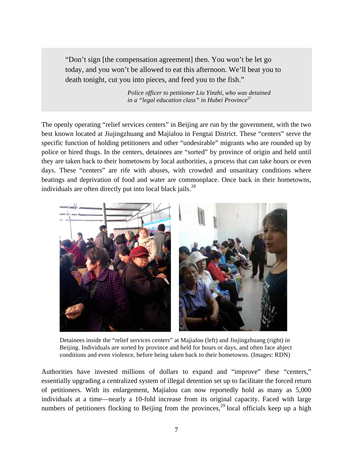"Don't sign [the compensation agreement] then. You won't be let go today, and you won't be allowed to eat this afternoon. We'll beat you to death tonight, cut you into pieces, and feed you to the fish."

> *Police officer to petitioner Liu Yinzhi, who was detained in a "legal education class" in Hubei Province*<sup>27</sup>

The openly operating "relief services centers" in Beijing are run by the government, with the two best known located at Jiujingzhuang and Majialou in Fengtai District. These "centers" serve the specific function of holding petitioners and other "undesirable" migrants who are rounded up by police or hired thugs. In the centers, detainees are "sorted" by province of origin and held until they are taken back to their hometowns by local authorities, a process that can take hours or even days. These "centers" are rife with abuses, with crowded and unsanitary conditions where beatings and deprivation of food and water are commonplace. Once back in their hometowns, individuals are often directly put into local black jails.<sup>28</sup>



Detainees inside the "relief services centers" at Majialou (left) and Jiujingzhuang (right) in Beijing. Individuals are sorted by province and held for hours or days, and often face abject conditions and even violence, before being taken back to their hometowns. (Images: RDN)

Authorities have invested millions of dollars to expand and "improve" these "centers," essentially upgrading a centralized system of illegal detention set up to facilitate the forced return of petitioners. With its enlargement, Majialou can now reportedly hold as many as 5,000 individuals at a time—nearly a 10-fold increase from its original capacity. Faced with large numbers of petitioners flocking to Beijing from the provinces,<sup>29</sup> local officials keep up a high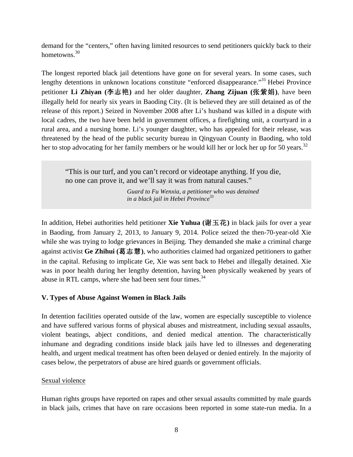demand for the "centers," often having limited resources to send petitioners quickly back to their hometowns.<sup>30</sup>

The longest reported black jail detentions have gone on for several years. In some cases, such lengthy detentions in unknown locations constitute "enforced disappearance."<sup>31</sup> Hebei Province petitioner Li Zhiyan (李志艳) and her older daughter, Zhang Zijuan (张紫娟), have been illegally held for nearly six years in Baoding City. (It is believed they are still detained as of the release of this report.) Seized in November 2008 after Li's husband was killed in a dispute with local cadres, the two have been held in government offices, a firefighting unit, a courtyard in a rural area, and a nursing home. Li's younger daughter, who has appealed for their release, was threatened by the head of the public security bureau in Qingyuan County in Baoding, who told her to stop advocating for her family members or he would kill her or lock her up for 50 years.<sup>32</sup>

"This is our turf, and you can't record or videotape anything. If you die, no one can prove it, and we'll say it was from natural causes."

> *Guard to Fu Wenxia, a petitioner who was detained in a black jail in Hebei Province*<sup>33</sup>

In addition, Hebei authorities held petitioner **Xie Yuhua** (谢玉花) in black jails for over a year in Baoding, from January 2, 2013, to January 9, 2014. Police seized the then-70-year-old Xie while she was trying to lodge grievances in Beijing. They demanded she make a criminal charge against activist Ge Zhihui (葛志慧), who authorities claimed had organized petitioners to gather in the capital. Refusing to implicate Ge, Xie was sent back to Hebei and illegally detained. Xie was in poor health during her lengthy detention, having been physically weakened by years of abuse in RTL camps, where she had been sent four times.<sup>34</sup>

# **V. Types of Abuse Against Women in Black Jails**

In detention facilities operated outside of the law, women are especially susceptible to violence and have suffered various forms of physical abuses and mistreatment, including sexual assaults, violent beatings, abject conditions, and denied medical attention. The characteristically inhumane and degrading conditions inside black jails have led to illnesses and degenerating health, and urgent medical treatment has often been delayed or denied entirely. In the majority of cases below, the perpetrators of abuse are hired guards or government officials.

# Sexual violence

Human rights groups have reported on rapes and other sexual assaults committed by male guards in black jails, crimes that have on rare occasions been reported in some state-run media. In a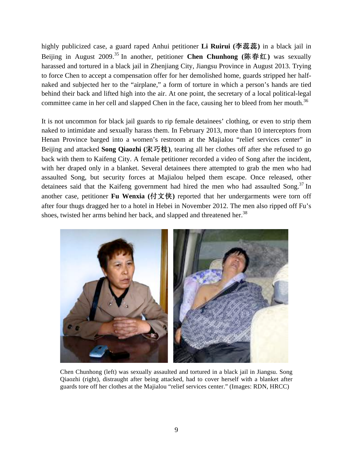highly publicized case, a guard raped Anhui petitioner **Li Ruirui (李蕊蕊)** in a black jail in Beijing in August 2009.<sup>35</sup> In another, petitioner **Chen Chunhong** (陈春红) was sexually harassed and tortured in a black jail in Zhenjiang City, Jiangsu Province in August 2013. Trying to force Chen to accept a compensation offer for her demolished home, guards stripped her halfnaked and subjected her to the "airplane," a form of torture in which a person's hands are tied behind their back and lifted high into the air. At one point, the secretary of a local political-legal committee came in her cell and slapped Chen in the face, causing her to bleed from her mouth.<sup>36</sup>

It is not uncommon for black jail guards to rip female detainees' clothing, or even to strip them naked to intimidate and sexually harass them. In February 2013, more than 10 interceptors from Henan Province barged into a women's restroom at the Majialou "relief services center" in Beijing and attacked **Song Qiaozhi** (宋巧枝), tearing all her clothes off after she refused to go back with them to Kaifeng City. A female petitioner recorded a video of Song after the incident, with her draped only in a blanket. Several detainees there attempted to grab the men who had assaulted Song, but security forces at Majialou helped them escape. Once released, other detainees said that the Kaifeng government had hired the men who had assaulted Song.<sup>37</sup> In another case, petitioner **Fu Wenxia** (付文侠) reported that her undergarments were torn off after four thugs dragged her to a hotel in Hebei in November 2012. The men also ripped off Fu's shoes, twisted her arms behind her back, and slapped and threatened her.<sup>38</sup>



Chen Chunhong (left) was sexually assaulted and tortured in a black jail in Jiangsu. Song Qiaozhi (right), distraught after being attacked, had to cover herself with a blanket after guards tore off her clothes at the Majialou "relief services center." (Images: RDN, HRCC)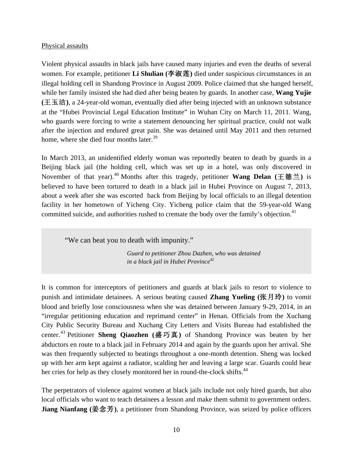#### Physical assaults

Violent physical assaults in black jails have caused many injuries and even the deaths of several women. For example, petitioner **Li Shulian** (李淑莲) died under suspicious circumstances in an illegal holding cell in Shandong Province in August 2009. Police claimed that she hanged herself, while her family insisted she had died after being beaten by guards. In another case, **Wang Yujie (王玉洁), a 24-year-old woman, eventually died after being injected with an unknown substance** at the "Hubei Provincial Legal Education Institute" in Wuhan City on March 11, 2011. Wang, who guards were forcing to write a statement denouncing her spiritual practice, could not walk after the injection and endured great pain. She was detained until May 2011 and then returned home, where she died four months later.<sup>39</sup>

In March 2013, an unidentified elderly woman was reportedly beaten to death by guards in a Beijing black jail (the holding cell, which was set up in a hotel, was only discovered in November of that year).<sup>40</sup> Months after this tragedy, petitioner **Wang Delan** (王德兰) is believed to have been tortured to death in a black jail in Hubei Province on August 7, 2013, about a week after she was escorted back from Beijing by local officials to an illegal detention facility in her hometown of Yicheng City. Yicheng police claim that the 59-year-old Wang committed suicide, and authorities rushed to cremate the body over the family's objection.<sup>41</sup>

"We can beat you to death with impunity."

*Guard to petitioner Zhou Dazhen, who was detained in a black jail in Hubei Province*<sup>42</sup>

It is common for interceptors of petitioners and guards at black jails to resort to violence to punish and intimidate detainees. A serious beating caused **Zhang Yueling (张月玲)** to vomit blood and briefly lose consciousness when she was detained between January 9-29, 2014, in an "irregular petitioning education and reprimand center" in Henan. Officials from the Xuchang City Public Security Bureau and Xuchang City Letters and Visits Bureau had established the center.<sup>43</sup> Petitioner **Sheng Qiaozhen** (盛巧真) of Shandong Province was beaten by her abductors en route to a black jail in February 2014 and again by the guards upon her arrival. She was then frequently subjected to beatings throughout a one-month detention. Sheng was locked up with her arm kept against a radiator, scalding her and leaving a large scar. Guards could hear her cries for help as they closely monitored her in round-the-clock shifts.<sup>44</sup>

The perpetrators of violence against women at black jails include not only hired guards, but also local officials who want to teach detainees a lesson and make them submit to government orders. **Jiang Nianfang** (姜念芳), a petitioner from Shandong Province, was seized by police officers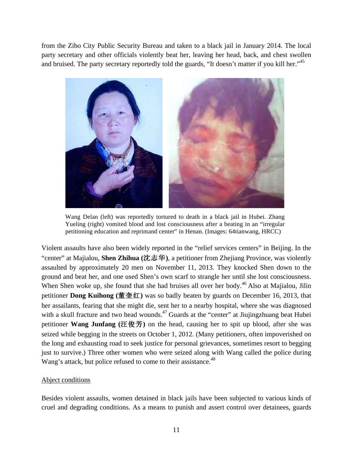from the Zibo City Public Security Bureau and taken to a black jail in January 2014. The local party secretary and other officials violently beat her, leaving her head, back, and chest swollen and bruised. The party secretary reportedly told the guards, "It doesn't matter if you kill her."<sup>45</sup>



Wang Delan (left) was reportedly tortured to death in a black jail in Hubei. Zhang Yueling (right) vomited blood and lost consciousness after a beating in an "irregular petitioning education and reprimand center" in Henan. (Images: 64tianwang, HRCC)

Violent assaults have also been widely reported in the "relief services centers" in Beijing. In the "center" at Majialou, **Shen Zhihua (**ŕên**)**, a petitioner from Zhejiang Province, was violently assaulted by approximately 20 men on November 11, 2013. They knocked Shen down to the ground and beat her, and one used Shen's own scarf to strangle her until she lost consciousness. When Shen woke up, she found that she had bruises all over her body.<sup>46</sup> Also at Majialou, Jilin petitioner **Dong Kuihong** (董奎红) was so badly beaten by guards on December 16, 2013, that her assailants, fearing that she might die, sent her to a nearby hospital, where she was diagnosed with a skull fracture and two head wounds.<sup>47</sup> Guards at the "center" at Jiujingzhuang beat Hubei petitioner **Wang Junfang** (汪俊芳) on the head, causing her to spit up blood, after she was seized while begging in the streets on October 1, 2012. (Many petitioners, often impoverished on the long and exhausting road to seek justice for personal grievances, sometimes resort to begging just to survive.) Three other women who were seized along with Wang called the police during Wang's attack, but police refused to come to their assistance.<sup>48</sup>

#### Abject conditions

Besides violent assaults, women detained in black jails have been subjected to various kinds of cruel and degrading conditions. As a means to punish and assert control over detainees, guards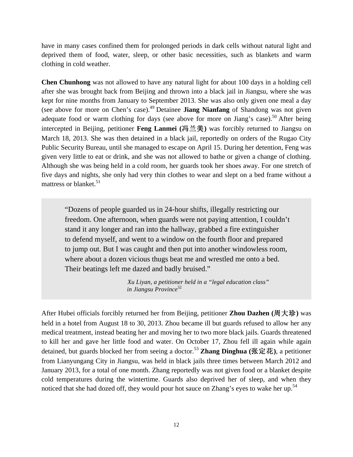have in many cases confined them for prolonged periods in dark cells without natural light and deprived them of food, water, sleep, or other basic necessities, such as blankets and warm clothing in cold weather.

**Chen Chunhong** was not allowed to have any natural light for about 100 days in a holding cell after she was brought back from Beijing and thrown into a black jail in Jiangsu, where she was kept for nine months from January to September 2013. She was also only given one meal a day (see above for more on Chen's case). <sup>49</sup> Detainee **Jiang Nianfang** of Shandong was not given adequate food or warm clothing for days (see above for more on Jiang's case).<sup>50</sup> After being intercepted in Beijing, petitioner **Feng Lanmei** (冯兰美) was forcibly returned to Jiangsu on March 18, 2013. She was then detained in a black jail, reportedly on orders of the Rugao City Public Security Bureau, until she managed to escape on April 15. During her detention, Feng was given very little to eat or drink, and she was not allowed to bathe or given a change of clothing. Although she was being held in a cold room, her guards took her shoes away. For one stretch of five days and nights, she only had very thin clothes to wear and slept on a bed frame without a mattress or blanket.<sup>51</sup>

"Dozens of people guarded us in 24-hour shifts, illegally restricting our freedom. One afternoon, when guards were not paying attention, I couldn't stand it any longer and ran into the hallway, grabbed a fire extinguisher to defend myself, and went to a window on the fourth floor and prepared to jump out. But I was caught and then put into another windowless room, where about a dozen vicious thugs beat me and wrestled me onto a bed. Their beatings left me dazed and badly bruised."

> *Xu Liyan, a petitioner held in a "legal education class" in Jiangsu Province*<sup>52</sup>

After Hubei officials forcibly returned her from Beijing, petitioner **Zhou Dazhen** (周大珍) was held in a hotel from August 18 to 30, 2013. Zhou became ill but guards refused to allow her any medical treatment, instead beating her and moving her to two more black jails. Guards threatened to kill her and gave her little food and water. On October 17, Zhou fell ill again while again detained, but guards blocked her from seeing a doctor.<sup>53</sup> Zhang Dinghua (张定花), a petitioner from Lianyungang City in Jiangsu, was held in black jails three times between March 2012 and January 2013, for a total of one month. Zhang reportedly was not given food or a blanket despite cold temperatures during the wintertime. Guards also deprived her of sleep, and when they noticed that she had dozed off, they would pour hot sauce on Zhang's eyes to wake her up.<sup>54</sup>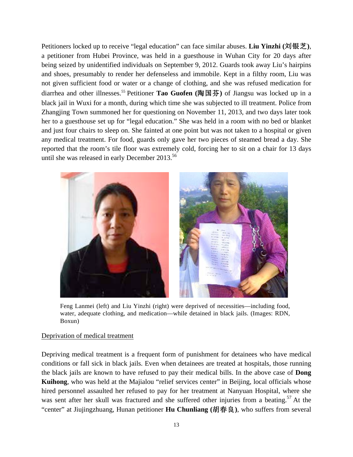Petitioners locked up to receive "legal education" can face similar abuses. **Liu Yinzhi** (刘银芝), a petitioner from Hubei Province, was held in a guesthouse in Wuhan City for 20 days after being seized by unidentified individuals on September 9, 2012. Guards took away Liu's hairpins and shoes, presumably to render her defenseless and immobile. Kept in a filthy room, Liu was not given sufficient food or water or a change of clothing, and she was refused medication for diarrhea and other illnesses.<sup>55</sup> Petitioner **Tao Guofen** (陶国芬) of Jiangsu was locked up in a black jail in Wuxi for a month, during which time she was subjected to ill treatment. Police from Zhangjing Town summoned her for questioning on November 11, 2013, and two days later took her to a guesthouse set up for "legal education." She was held in a room with no bed or blanket and just four chairs to sleep on. She fainted at one point but was not taken to a hospital or given any medical treatment. For food, guards only gave her two pieces of steamed bread a day. She reported that the room's tile floor was extremely cold, forcing her to sit on a chair for 13 days until she was released in early December 2013. 56



Feng Lanmei (left) and Liu Yinzhi (right) were deprived of necessities—including food, water, adequate clothing, and medication—while detained in black jails. (Images: RDN, Boxun)

#### Deprivation of medical treatment

Depriving medical treatment is a frequent form of punishment for detainees who have medical conditions or fall sick in black jails. Even when detainees are treated at hospitals, those running the black jails are known to have refused to pay their medical bills. In the above case of **Dong Kuihong**, who was held at the Majialou "relief services center" in Beijing, local officials whose hired personnel assaulted her refused to pay for her treatment at Nanyuan Hospital, where she was sent after her skull was fractured and she suffered other injuries from a beating.<sup>57</sup> At the "center" at Jiujingzhuang, Hunan petitioner **Hu Chunliang** (胡春良), who suffers from several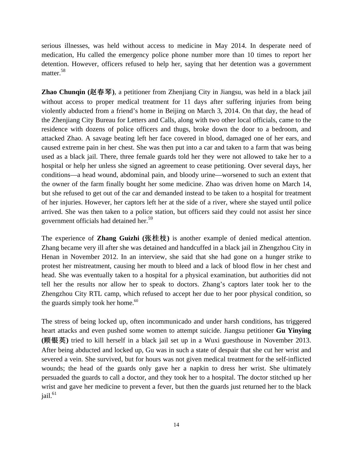serious illnesses, was held without access to medicine in May 2014. In desperate need of medication, Hu called the emergency police phone number more than 10 times to report her detention. However, officers refused to help her, saying that her detention was a government matter.<sup>58</sup>

**Zhao Chunqin (赵春琴),** a petitioner from Zhenjiang City in Jiangsu, was held in a black jail without access to proper medical treatment for 11 days after suffering injuries from being violently abducted from a friend's home in Beijing on March 3, 2014. On that day, the head of the Zhenjiang City Bureau for Letters and Calls, along with two other local officials, came to the residence with dozens of police officers and thugs, broke down the door to a bedroom, and attacked Zhao. A savage beating left her face covered in blood, damaged one of her ears, and caused extreme pain in her chest. She was then put into a car and taken to a farm that was being used as a black jail. There, three female guards told her they were not allowed to take her to a hospital or help her unless she signed an agreement to cease petitioning. Over several days, her conditions—a head wound, abdominal pain, and bloody urine—worsened to such an extent that the owner of the farm finally bought her some medicine. Zhao was driven home on March 14, but she refused to get out of the car and demanded instead to be taken to a hospital for treatment of her injuries. However, her captors left her at the side of a river, where she stayed until police arrived. She was then taken to a police station, but officers said they could not assist her since government officials had detained her. 59

The experience of **Zhang Guizhi** (张桂枝) is another example of denied medical attention. Zhang became very ill after she was detained and handcuffed in a black jail in Zhengzhou City in Henan in November 2012. In an interview, she said that she had gone on a hunger strike to protest her mistreatment, causing her mouth to bleed and a lack of blood flow in her chest and head. She was eventually taken to a hospital for a physical examination, but authorities did not tell her the results nor allow her to speak to doctors. Zhang's captors later took her to the Zhengzhou City RTL camp, which refused to accept her due to her poor physical condition, so the guards simply took her home.<sup>60</sup>

The stress of being locked up, often incommunicado and under harsh conditions, has triggered heart attacks and even pushed some women to attempt suicide. Jiangsu petitioner **Gu Yinying (**Ȣȏdž**)** tried to kill herself in a black jail set up in a Wuxi guesthouse in November 2013. After being abducted and locked up, Gu was in such a state of despair that she cut her wrist and severed a vein. She survived, but for hours was not given medical treatment for the self-inflicted wounds; the head of the guards only gave her a napkin to dress her wrist. She ultimately persuaded the guards to call a doctor, and they took her to a hospital. The doctor stitched up her wrist and gave her medicine to prevent a fever, but then the guards just returned her to the black  $i$ ail. $61$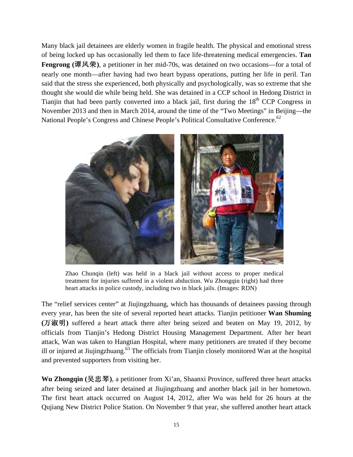Many black jail detainees are elderly women in fragile health. The physical and emotional stress of being locked up has occasionally led them to face life-threatening medical emergencies. **Tan Fengrong (谭风荣), a petitioner in her mid-70s, was detained on two occasions—for a total of** nearly one month—after having had two heart bypass operations, putting her life in peril. Tan said that the stress she experienced, both physically and psychologically, was so extreme that she thought she would die while being held. She was detained in a CCP school in Hedong District in Tianjin that had been partly converted into a black jail, first during the 18<sup>th</sup> CCP Congress in November 2013 and then in March 2014, around the time of the "Two Meetings" in Beijing—the National People's Congress and Chinese People's Political Consultative Conference.<sup>62</sup>



Zhao Chunqin (left) was held in a black jail without access to proper medical treatment for injuries suffered in a violent abduction. Wu Zhongqin (right) had three heart attacks in police custody, including two in black jails. (Images: RDN)

The "relief services center" at Jiujingzhuang, which has thousands of detainees passing through every year, has been the site of several reported heart attacks. Tianjin petitioner **Wan Shuming**  (万淑明) suffered a heart attack there after being seized and beaten on May 19, 2012, by officials from Tianjin's Hedong District Housing Management Department. After her heart attack, Wan was taken to Hangtian Hospital, where many petitioners are treated if they become ill or injured at Jiujingzhuang.<sup>63</sup> The officials from Tianjin closely monitored Wan at the hospital and prevented supporters from visiting her.

Wu Zhongqin (吴忠琴), a petitioner from Xi'an, Shaanxi Province, suffered three heart attacks after being seized and later detained at Jiujingzhuang and another black jail in her hometown. The first heart attack occurred on August 14, 2012, after Wu was held for 26 hours at the Qujiang New District Police Station. On November 9 that year, she suffered another heart attack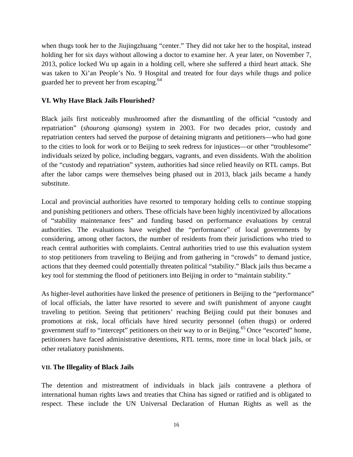when thugs took her to the Jiujingzhuang "center." They did not take her to the hospital, instead holding her for six days without allowing a doctor to examine her. A year later, on November 7, 2013, police locked Wu up again in a holding cell, where she suffered a third heart attack. She was taken to Xi'an People's No. 9 Hospital and treated for four days while thugs and police guarded her to prevent her from escaping.<sup>64</sup>

# **VI. Why Have Black Jails Flourished?**

Black jails first noticeably mushroomed after the dismantling of the official "custody and repatriation" (*shourong qiansong*) system in 2003. For two decades prior, custody and repatriation centers had served the purpose of detaining migrants and petitioners—who had gone to the cities to look for work or to Beijing to seek redress for injustices—or other "troublesome" individuals seized by police, including beggars, vagrants, and even dissidents. With the abolition of the "custody and repatriation" system, authorities had since relied heavily on RTL camps. But after the labor camps were themselves being phased out in 2013, black jails became a handy substitute.

Local and provincial authorities have resorted to temporary holding cells to continue stopping and punishing petitioners and others. These officials have been highly incentivized by allocations of "stability maintenance fees" and funding based on performance evaluations by central authorities. The evaluations have weighed the "performance" of local governments by considering, among other factors, the number of residents from their jurisdictions who tried to reach central authorities with complaints. Central authorities tried to use this evaluation system to stop petitioners from traveling to Beijing and from gathering in "crowds" to demand justice, actions that they deemed could potentially threaten political "stability." Black jails thus became a key tool for stemming the flood of petitioners into Beijing in order to "maintain stability."

As higher-level authorities have linked the presence of petitioners in Beijing to the "performance" of local officials, the latter have resorted to severe and swift punishment of anyone caught traveling to petition. Seeing that petitioners' reaching Beijing could put their bonuses and promotions at risk, local officials have hired security personnel (often thugs) or ordered government staff to "intercept" petitioners on their way to or in Beijing.<sup>65</sup> Once "escorted" home, petitioners have faced administrative detentions, RTL terms, more time in local black jails, or other retaliatory punishments.

#### **VII. The Illegality of Black Jails**

The detention and mistreatment of individuals in black jails contravene a plethora of international human rights laws and treaties that China has signed or ratified and is obligated to respect. These include the UN Universal Declaration of Human Rights as well as the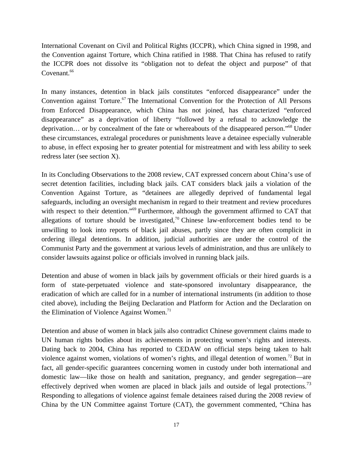International Covenant on Civil and Political Rights (ICCPR), which China signed in 1998, and the Convention against Torture, which China ratified in 1988. That China has refused to ratify the ICCPR does not dissolve its "obligation not to defeat the object and purpose" of that Covenant.<sup>66</sup>

In many instances, detention in black jails constitutes "enforced disappearance" under the Convention against Torture. <sup>67</sup> The International Convention for the Protection of All Persons from Enforced Disappearance, which China has not joined, has characterized "enforced disappearance" as a deprivation of liberty "followed by a refusal to acknowledge the deprivation… or by concealment of the fate or whereabouts of the disappeared person."68 Under these circumstances, extralegal procedures or punishments leave a detainee especially vulnerable to abuse, in effect exposing her to greater potential for mistreatment and with less ability to seek redress later (see section X).

In its Concluding Observations to the 2008 review, CAT expressed concern about China's use of secret detention facilities, including black jails. CAT considers black jails a violation of the Convention Against Torture, as "detainees are allegedly deprived of fundamental legal safeguards, including an oversight mechanism in regard to their treatment and review procedures with respect to their detention."<sup>69</sup> Furthermore, although the government affirmed to CAT that allegations of torture should be investigated,<sup>70</sup> Chinese law-enforcement bodies tend to be unwilling to look into reports of black jail abuses, partly since they are often complicit in ordering illegal detentions. In addition, judicial authorities are under the control of the Communist Party and the government at various levels of administration, and thus are unlikely to consider lawsuits against police or officials involved in running black jails.

Detention and abuse of women in black jails by government officials or their hired guards is a form of state-perpetuated violence and state-sponsored involuntary disappearance, the eradication of which are called for in a number of international instruments (in addition to those cited above), including the Beijing Declaration and Platform for Action and the Declaration on the Elimination of Violence Against Women.<sup>71</sup>

Detention and abuse of women in black jails also contradict Chinese government claims made to UN human rights bodies about its achievements in protecting women's rights and interests. Dating back to 2004, China has reported to CEDAW on official steps being taken to halt violence against women, violations of women's rights, and illegal detention of women.<sup>72</sup> But in fact, all gender-specific guarantees concerning women in custody under both international and domestic law—like those on health and sanitation, pregnancy, and gender segregation—are effectively deprived when women are placed in black jails and outside of legal protections.<sup>73</sup> Responding to allegations of violence against female detainees raised during the 2008 review of China by the UN Committee against Torture (CAT), the government commented, "China has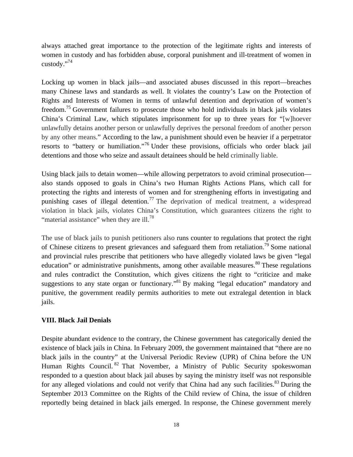always attached great importance to the protection of the legitimate rights and interests of women in custody and has forbidden abuse, corporal punishment and ill-treatment of women in custody."74

Locking up women in black jails—and associated abuses discussed in this report—breaches many Chinese laws and standards as well. It violates the country's Law on the Protection of Rights and Interests of Women in terms of unlawful detention and deprivation of women's freedom.<sup>75</sup> Government failures to prosecute those who hold individuals in black jails violates China's Criminal Law, which stipulates imprisonment for up to three years for "[w]hoever unlawfully detains another person or unlawfully deprives the personal freedom of another person by any other means." According to the law, a punishment should even be heavier if a perpetrator resorts to "battery or humiliation."<sup>76</sup> Under these provisions, officials who order black jail detentions and those who seize and assault detainees should be held criminally liable.

Using black jails to detain women—while allowing perpetrators to avoid criminal prosecution also stands opposed to goals in China's two Human Rights Actions Plans, which call for protecting the rights and interests of women and for strengthening efforts in investigating and punishing cases of illegal detention.<sup>77</sup> The deprivation of medical treatment, a widespread violation in black jails, violates China's Constitution, which guarantees citizens the right to "material assistance" when they are ill. $^{78}$ 

The use of black jails to punish petitioners also runs counter to regulations that protect the right of Chinese citizens to present grievances and safeguard them from retaliation.<sup>79</sup> Some national and provincial rules prescribe that petitioners who have allegedly violated laws be given "legal education" or administrative punishments, among other available measures. $80$  These regulations and rules contradict the Constitution, which gives citizens the right to "criticize and make suggestions to any state organ or functionary.<sup>81</sup> By making "legal education" mandatory and punitive, the government readily permits authorities to mete out extralegal detention in black jails.

# **VIII. Black Jail Denials**

Despite abundant evidence to the contrary, the Chinese government has categorically denied the existence of black jails in China. In February 2009, the government maintained that "there are no black jails in the country" at the Universal Periodic Review (UPR) of China before the UN Human Rights Council.<sup>82</sup> That November, a Ministry of Public Security spokeswoman responded to a question about black jail abuses by saying the ministry itself was not responsible for any alleged violations and could not verify that China had any such facilities. $83$  During the September 2013 Committee on the Rights of the Child review of China, the issue of children reportedly being detained in black jails emerged. In response, the Chinese government merely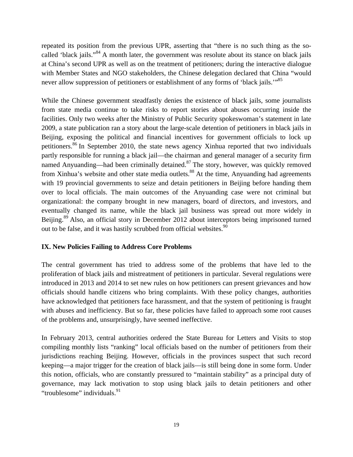repeated its position from the previous UPR, asserting that "there is no such thing as the socalled 'black jails."84 A month later, the government was resolute about its stance on black jails at China's second UPR as well as on the treatment of petitioners; during the interactive dialogue with Member States and NGO stakeholders, the Chinese delegation declared that China "would never allow suppression of petitioners or establishment of any forms of 'black jails.'"<sup>85</sup>

While the Chinese government steadfastly denies the existence of black jails, some journalists from state media continue to take risks to report stories about abuses occurring inside the facilities. Only two weeks after the Ministry of Public Security spokeswoman's statement in late 2009, a state publication ran a story about the large-scale detention of petitioners in black jails in Beijing, exposing the political and financial incentives for government officials to lock up petitioners.<sup>86</sup> In September 2010, the state news agency Xinhua reported that two individuals partly responsible for running a black jail—the chairman and general manager of a security firm named Anyuanding—had been criminally detained.<sup>87</sup> The story, however, was quickly removed from Xinhua's website and other state media outlets.<sup>88</sup> At the time, Anyuanding had agreements with 19 provincial governments to seize and detain petitioners in Beijing before handing them over to local officials. The main outcomes of the Anyuanding case were not criminal but organizational: the company brought in new managers, board of directors, and investors, and eventually changed its name, while the black jail business was spread out more widely in Beijing.<sup>89</sup> Also, an official story in December 2012 about interceptors being imprisoned turned out to be false, and it was hastily scrubbed from official websites.<sup>90</sup>

#### **IX. New Policies Failing to Address Core Problems**

The central government has tried to address some of the problems that have led to the proliferation of black jails and mistreatment of petitioners in particular. Several regulations were introduced in 2013 and 2014 to set new rules on how petitioners can present grievances and how officials should handle citizens who bring complaints. With these policy changes, authorities have acknowledged that petitioners face harassment, and that the system of petitioning is fraught with abuses and inefficiency. But so far, these policies have failed to approach some root causes of the problems and, unsurprisingly, have seemed ineffective.

In February 2013, central authorities ordered the State Bureau for Letters and Visits to stop compiling monthly lists "ranking" local officials based on the number of petitioners from their jurisdictions reaching Beijing. However, officials in the provinces suspect that such record keeping—a major trigger for the creation of black jails—is still being done in some form. Under this notion, officials, who are constantly pressured to "maintain stability" as a principal duty of governance, may lack motivation to stop using black jails to detain petitioners and other "troublesome" individuals.<sup>91</sup>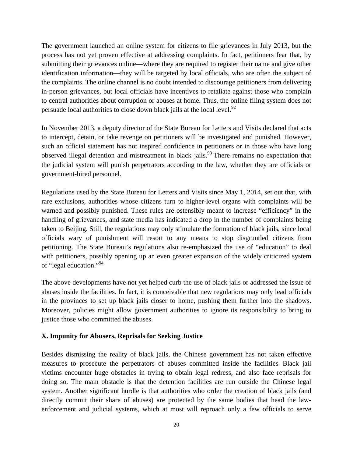The government launched an online system for citizens to file grievances in July 2013, but the process has not yet proven effective at addressing complaints. In fact, petitioners fear that, by submitting their grievances online—where they are required to register their name and give other identification information—they will be targeted by local officials, who are often the subject of the complaints. The online channel is no doubt intended to discourage petitioners from delivering in-person grievances, but local officials have incentives to retaliate against those who complain to central authorities about corruption or abuses at home. Thus, the online filing system does not persuade local authorities to close down black jails at the local level.  $92$ 

In November 2013, a deputy director of the State Bureau for Letters and Visits declared that acts to intercept, detain, or take revenge on petitioners will be investigated and punished. However, such an official statement has not inspired confidence in petitioners or in those who have long observed illegal detention and mistreatment in black jails.<sup>93</sup> There remains no expectation that the judicial system will punish perpetrators according to the law, whether they are officials or government-hired personnel.

Regulations used by the State Bureau for Letters and Visits since May 1, 2014, set out that, with rare exclusions, authorities whose citizens turn to higher-level organs with complaints will be warned and possibly punished. These rules are ostensibly meant to increase "efficiency" in the handling of grievances, and state media has indicated a drop in the number of complaints being taken to Beijing. Still, the regulations may only stimulate the formation of black jails, since local officials wary of punishment will resort to any means to stop disgruntled citizens from petitioning. The State Bureau's regulations also re-emphasized the use of "education" to deal with petitioners, possibly opening up an even greater expansion of the widely criticized system of "legal education."94

The above developments have not yet helped curb the use of black jails or addressed the issue of abuses inside the facilities. In fact, it is conceivable that new regulations may only lead officials in the provinces to set up black jails closer to home, pushing them further into the shadows. Moreover, policies might allow government authorities to ignore its responsibility to bring to justice those who committed the abuses.

# **X. Impunity for Abusers, Reprisals for Seeking Justice**

Besides dismissing the reality of black jails, the Chinese government has not taken effective measures to prosecute the perpetrators of abuses committed inside the facilities. Black jail victims encounter huge obstacles in trying to obtain legal redress, and also face reprisals for doing so. The main obstacle is that the detention facilities are run outside the Chinese legal system. Another significant hurdle is that authorities who order the creation of black jails (and directly commit their share of abuses) are protected by the same bodies that head the lawenforcement and judicial systems, which at most will reproach only a few officials to serve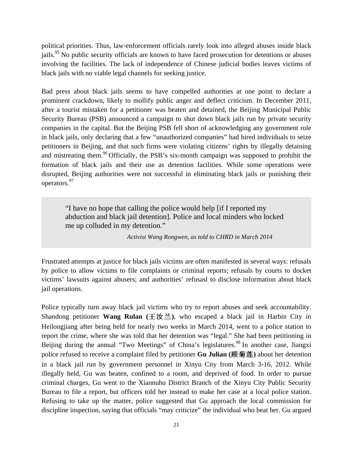political priorities. Thus, law-enforcement officials rarely look into alleged abuses inside black jails.<sup>95</sup> No public security officials are known to have faced prosecution for detentions or abuses involving the facilities. The lack of independence of Chinese judicial bodies leaves victims of black jails with no viable legal channels for seeking justice.

Bad press about black jails seems to have compelled authorities at one point to declare a prominent crackdown, likely to mollify public anger and deflect criticism. In December 2011, after a tourist mistaken for a petitioner was beaten and detained, the Beijing Municipal Public Security Bureau (PSB) announced a campaign to shut down black jails run by private security companies in the capital. But the Beijing PSB fell short of acknowledging any government role in black jails, only declaring that a few "unauthorized companies" had hired individuals to seize petitioners in Beijing, and that such firms were violating citizens' rights by illegally detaining and mistreating them.<sup>96</sup> Officially, the PSB's six-month campaign was supposed to prohibit the formation of black jails and their use as detention facilities. While some operations were disrupted, Beijing authorities were not successful in eliminating black jails or punishing their operators.<sup>97</sup>

"I have no hope that calling the police would help [if I reported my abduction and black jail detention]. Police and local minders who locked me up colluded in my detention."

*Activist Wang Rongwen, as told to CHRD in March 2014*

Frustrated attempts at justice for black jails victims are often manifested in several ways: refusals by police to allow victims to file complaints or criminal reports; refusals by courts to docket victims' lawsuits against abusers; and authorities' refusasl to disclose information about black jail operations.

Police typically turn away black jail victims who try to report abuses and seek accountability. Shandong petitioner **Wang Rulan** ( $\pm \mathcal{U} \pm \mathcal{V}$ ), who escaped a black jail in Harbin City in Heilongjiang after being held for nearly two weeks in March 2014, went to a police station to report the crime, where she was told that her detention was "legal." She had been petitioning in Beijing during the annual "Two Meetings" of China's legislatures.<sup>98</sup> In another case, Jiangxi police refused to receive a complaint filed by petitioner **Gu Julian** (顾菊莲) about her detention in a black jail run by government personnel in Xinyu City from March 3-16, 2012. While illegally held, Gu was beaten, confined to a room, and deprived of food. In order to pursue criminal charges, Gu went to the Xiannuhu District Branch of the Xinyu City Public Security Bureau to file a report, but officers told her instead to make her case at a local police station. Refusing to take up the matter, police suggested that Gu approach the local commission for discipline inspection, saying that officials "may criticize" the individual who beat her. Gu argued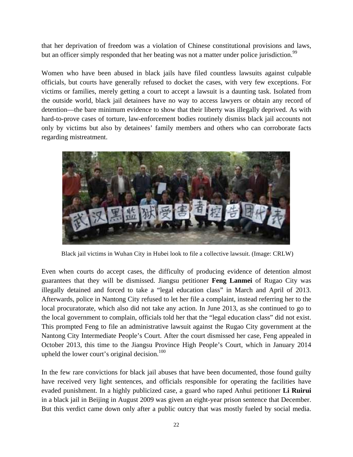that her deprivation of freedom was a violation of Chinese constitutional provisions and laws, but an officer simply responded that her beating was not a matter under police jurisdiction.<sup>99</sup>

Women who have been abused in black jails have filed countless lawsuits against culpable officials, but courts have generally refused to docket the cases, with very few exceptions. For victims or families, merely getting a court to accept a lawsuit is a daunting task. Isolated from the outside world, black jail detainees have no way to access lawyers or obtain any record of detention—the bare minimum evidence to show that their liberty was illegally deprived. As with hard-to-prove cases of torture, law-enforcement bodies routinely dismiss black jail accounts not only by victims but also by detainees' family members and others who can corroborate facts regarding mistreatment.



Black jail victims in Wuhan City in Hubei look to file a collective lawsuit. (Image: CRLW)

Even when courts do accept cases, the difficulty of producing evidence of detention almost guarantees that they will be dismissed. Jiangsu petitioner **Feng Lanmei** of Rugao City was illegally detained and forced to take a "legal education class" in March and April of 2013. Afterwards, police in Nantong City refused to let her file a complaint, instead referring her to the local procuratorate, which also did not take any action. In June 2013, as she continued to go to the local government to complain, officials told her that the "legal education class" did not exist. This prompted Feng to file an administrative lawsuit against the Rugao City government at the Nantong City Intermediate People's Court. After the court dismissed her case, Feng appealed in October 2013, this time to the Jiangsu Province High People's Court, which in January 2014 upheld the lower court's original decision.<sup>100</sup>

In the few rare convictions for black jail abuses that have been documented, those found guilty have received very light sentences, and officials responsible for operating the facilities have evaded punishment. In a highly publicized case, a guard who raped Anhui petitioner **Li Ruirui** in a black jail in Beijing in August 2009 was given an eight-year prison sentence that December. But this verdict came down only after a public outcry that was mostly fueled by social media.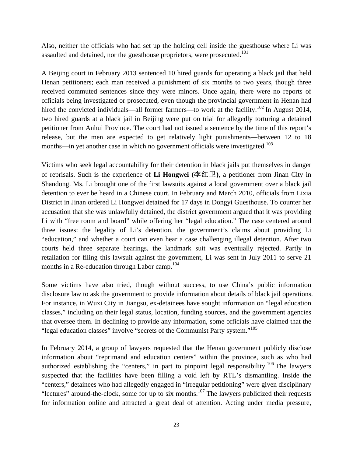Also, neither the officials who had set up the holding cell inside the guesthouse where Li was assaulted and detained, nor the guesthouse proprietors, were prosecuted.<sup>101</sup>

A Beijing court in February 2013 sentenced 10 hired guards for operating a black jail that held Henan petitioners; each man received a punishment of six months to two years, though three received commuted sentences since they were minors. Once again, there were no reports of officials being investigated or prosecuted, even though the provincial government in Henan had hired the convicted individuals—all former farmers—to work at the facility.<sup>102</sup> In August 2014, two hired guards at a black jail in Beijing were put on trial for allegedly torturing a detained petitioner from Anhui Province. The court had not issued a sentence by the time of this report's release, but the men are expected to get relatively light punishments—between 12 to 18 months—in yet another case in which no government officials were investigated.<sup>103</sup>

Victims who seek legal accountability for their detention in black jails put themselves in danger of reprisals. Such is the experience of **Li Hongwei** ( $\hat{\mathcal{F}}$ 红卫), a petitioner from Jinan City in Shandong. Ms. Li brought one of the first lawsuits against a local government over a black jail detention to ever be heard in a Chinese court. In February and March 2010, officials from Lixia District in Jinan ordered Li Hongwei detained for 17 days in Dongyi Guesthouse. To counter her accusation that she was unlawfully detained, the district government argued that it was providing Li with "free room and board" while offering her "legal education." The case centered around three issues: the legality of Li's detention, the government's claims about providing Li "education," and whether a court can even hear a case challenging illegal detention. After two courts held three separate hearings, the landmark suit was eventually rejected. Partly in retaliation for filing this lawsuit against the government, Li was sent in July 2011 to serve 21 months in a Re-education through Labor camp. 104

Some victims have also tried, though without success, to use China's public information disclosure law to ask the government to provide information about details of black jail operations. For instance, in Wuxi City in Jiangsu, ex-detainees have sought information on "legal education classes," including on their legal status, location, funding sources, and the government agencies that oversee them. In declining to provide any information, some officials have claimed that the "legal education classes" involve "secrets of the Communist Party system."<sup>105</sup>

In February 2014, a group of lawyers requested that the Henan government publicly disclose information about "reprimand and education centers" within the province, such as who had authorized establishing the "centers," in part to pinpoint legal responsibility.<sup>106</sup> The lawyers suspected that the facilities have been filling a void left by RTL's dismantling. Inside the "centers," detainees who had allegedly engaged in "irregular petitioning" were given disciplinary "lectures" around-the-clock, some for up to six months.<sup>107</sup> The lawyers publicized their requests for information online and attracted a great deal of attention. Acting under media pressure,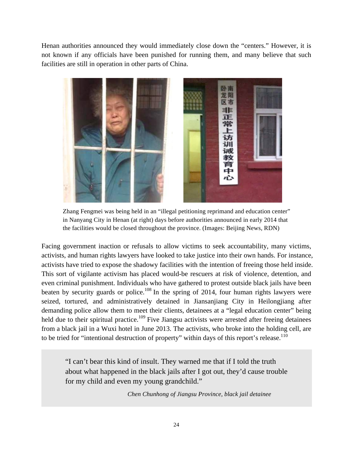Henan authorities announced they would immediately close down the "centers." However, it is not known if any officials have been punished for running them, and many believe that such facilities are still in operation in other parts of China.



Zhang Fengmei was being held in an "illegal petitioning reprimand and education center" in Nanyang City in Henan (at right) days before authorities announced in early 2014 that the facilities would be closed throughout the province. (Images: Beijing News, RDN)

Facing government inaction or refusals to allow victims to seek accountability, many victims, activists, and human rights lawyers have looked to take justice into their own hands. For instance, activists have tried to expose the shadowy facilities with the intention of freeing those held inside. This sort of vigilante activism has placed would-be rescuers at risk of violence, detention, and even criminal punishment. Individuals who have gathered to protest outside black jails have been beaten by security guards or police.<sup>108</sup> In the spring of 2014, four human rights lawyers were seized, tortured, and administratively detained in Jiansanjiang City in Heilongjiang after demanding police allow them to meet their clients, detainees at a "legal education center" being held due to their spiritual practice.<sup>109</sup> Five Jiangsu activists were arrested after freeing detainees from a black jail in a Wuxi hotel in June 2013. The activists, who broke into the holding cell, are to be tried for "intentional destruction of property" within days of this report's release.<sup>110</sup>

"I can't bear this kind of insult. They warned me that if I told the truth about what happened in the black jails after I got out, they'd cause trouble for my child and even my young grandchild."

*Chen Chunhong of Jiangsu Province, black jail detainee*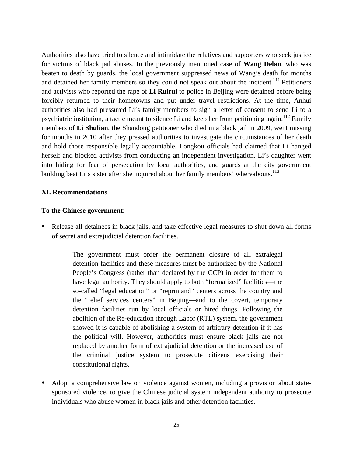Authorities also have tried to silence and intimidate the relatives and supporters who seek justice for victims of black jail abuses. In the previously mentioned case of **Wang Delan**, who was beaten to death by guards, the local government suppressed news of Wang's death for months and detained her family members so they could not speak out about the incident.<sup>111</sup> Petitioners and activists who reported the rape of **Li Ruirui** to police in Beijing were detained before being forcibly returned to their hometowns and put under travel restrictions. At the time, Anhui authorities also had pressured Li's family members to sign a letter of consent to send Li to a psychiatric institution, a tactic meant to silence Li and keep her from petitioning again.<sup>112</sup> Family members of **Li Shulian**, the Shandong petitioner who died in a black jail in 2009, went missing for months in 2010 after they pressed authorities to investigate the circumstances of her death and hold those responsible legally accountable. Longkou officials had claimed that Li hanged herself and blocked activists from conducting an independent investigation. Li's daughter went into hiding for fear of persecution by local authorities, and guards at the city government building beat Li's sister after she inquired about her family members' whereabouts.<sup>113</sup>

#### **XI. Recommendations**

#### **To the Chinese government**:

• Release all detainees in black jails, and take effective legal measures to shut down all forms of secret and extrajudicial detention facilities.

> The government must order the permanent closure of all extralegal detention facilities and these measures must be authorized by the National People's Congress (rather than declared by the CCP) in order for them to have legal authority. They should apply to both "formalized" facilities—the so-called "legal education" or "reprimand" centers across the country and the "relief services centers" in Beijing—and to the covert, temporary detention facilities run by local officials or hired thugs. Following the abolition of the Re-education through Labor (RTL) system, the government showed it is capable of abolishing a system of arbitrary detention if it has the political will. However, authorities must ensure black jails are not replaced by another form of extrajudicial detention or the increased use of the criminal justice system to prosecute citizens exercising their constitutional rights.

• Adopt a comprehensive law on violence against women, including a provision about statesponsored violence, to give the Chinese judicial system independent authority to prosecute individuals who abuse women in black jails and other detention facilities.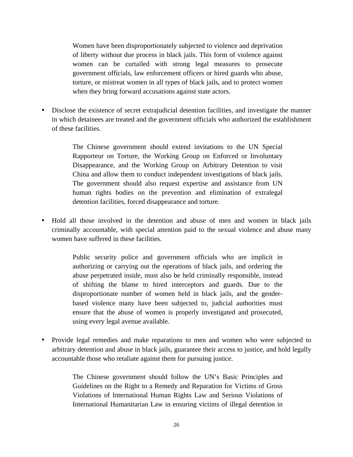Women have been disproportionately subjected to violence and deprivation of liberty without due process in black jails. This form of violence against women can be curtailed with strong legal measures to prosecute government officials, law enforcement officers or hired guards who abuse, torture, or mistreat women in all types of black jails, and to protect women when they bring forward accusations against state actors.

• Disclose the existence of secret extrajudicial detention facilities, and investigate the manner in which detainees are treated and the government officials who authorized the establishment of these facilities.

> The Chinese government should extend invitations to the UN Special Rapporteur on Torture, the Working Group on Enforced or Involuntary Disappearance, and the Working Group on Arbitrary Detention to visit China and allow them to conduct independent investigations of black jails. The government should also request expertise and assistance from UN human rights bodies on the prevention and elimination of extralegal detention facilities, forced disappearance and torture.

• Hold all those involved in the detention and abuse of men and women in black jails criminally accountable, with special attention paid to the sexual violence and abuse many women have suffered in these facilities.

> Public security police and government officials who are implicit in authorizing or carrying out the operations of black jails, and ordering the abuse perpetrated inside, must also be held criminally responsible, instead of shifting the blame to hired interceptors and guards. Due to the disproportionate number of women held in black jails, and the genderbased violence many have been subjected to, judicial authorities must ensure that the abuse of women is properly investigated and prosecuted, using every legal avenue available.

• Provide legal remedies and make reparations to men and women who were subjected to arbitrary detention and abuse in black jails, guarantee their access to justice, and hold legally accountable those who retaliate against them for pursuing justice.

> The Chinese government should follow the UN's Basic Principles and Guidelines on the Right to a Remedy and Reparation for Victims of Gross Violations of International Human Rights Law and Serious Violations of International Humanitarian Law in ensuring victims of illegal detention in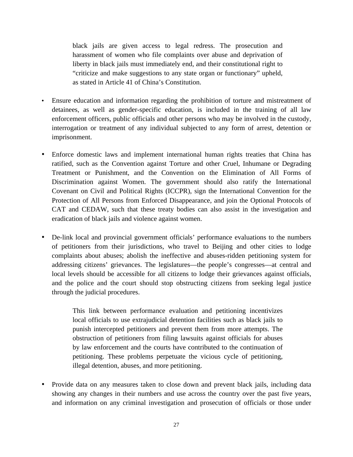black jails are given access to legal redress. The prosecution and harassment of women who file complaints over abuse and deprivation of liberty in black jails must immediately end, and their constitutional right to "criticize and make suggestions to any state organ or functionary" upheld, as stated in Article 41 of China's Constitution.

- Ensure education and information regarding the prohibition of torture and mistreatment of detainees, as well as gender-specific education, is included in the training of all law enforcement officers, public officials and other persons who may be involved in the custody, interrogation or treatment of any individual subjected to any form of arrest, detention or imprisonment.
- Enforce domestic laws and implement international human rights treaties that China has ratified, such as the Convention against Torture and other Cruel, Inhumane or Degrading Treatment or Punishment, and the Convention on the Elimination of All Forms of Discrimination against Women. The government should also ratify the International Covenant on Civil and Political Rights (ICCPR), sign the International Convention for the Protection of All Persons from Enforced Disappearance, and join the Optional Protocols of CAT and CEDAW, such that these treaty bodies can also assist in the investigation and eradication of black jails and violence against women.
- De-link local and provincial government officials' performance evaluations to the numbers of petitioners from their jurisdictions, who travel to Beijing and other cities to lodge complaints about abuses; abolish the ineffective and abuses-ridden petitioning system for addressing citizens' grievances. The legislatures—the people's congresses—at central and local levels should be accessible for all citizens to lodge their grievances against officials, and the police and the court should stop obstructing citizens from seeking legal justice through the judicial procedures.

This link between performance evaluation and petitioning incentivizes local officials to use extrajudicial detention facilities such as black jails to punish intercepted petitioners and prevent them from more attempts. The obstruction of petitioners from filing lawsuits against officials for abuses by law enforcement and the courts have contributed to the continuation of petitioning. These problems perpetuate the vicious cycle of petitioning, illegal detention, abuses, and more petitioning.

• Provide data on any measures taken to close down and prevent black jails, including data showing any changes in their numbers and use across the country over the past five years, and information on any criminal investigation and prosecution of officials or those under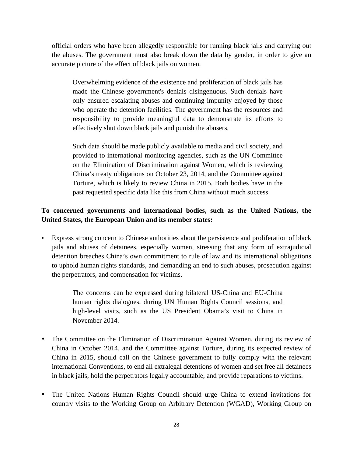official orders who have been allegedly responsible for running black jails and carrying out the abuses. The government must also break down the data by gender, in order to give an accurate picture of the effect of black jails on women.

Overwhelming evidence of the existence and proliferation of black jails has made the Chinese government's denials disingenuous. Such denials have only ensured escalating abuses and continuing impunity enjoyed by those who operate the detention facilities. The government has the resources and responsibility to provide meaningful data to demonstrate its efforts to effectively shut down black jails and punish the abusers.

Such data should be made publicly available to media and civil society, and provided to international monitoring agencies, such as the UN Committee on the Elimination of Discrimination against Women, which is reviewing China's treaty obligations on October 23, 2014, and the Committee against Torture, which is likely to review China in 2015. Both bodies have in the past requested specific data like this from China without much success.

# **To concerned governments and international bodies, such as the United Nations, the United States, the European Union and its member states:**

• Express strong concern to Chinese authorities about the persistence and proliferation of black jails and abuses of detainees, especially women, stressing that any form of extrajudicial detention breaches China's own commitment to rule of law and its international obligations to uphold human rights standards, and demanding an end to such abuses, prosecution against the perpetrators, and compensation for victims.

> The concerns can be expressed during bilateral US-China and EU-China human rights dialogues, during UN Human Rights Council sessions, and high-level visits, such as the US President Obama's visit to China in November 2014.

- The Committee on the Elimination of Discrimination Against Women, during its review of China in October 2014, and the Committee against Torture, during its expected review of China in 2015, should call on the Chinese government to fully comply with the relevant international Conventions, to end all extralegal detentions of women and set free all detainees in black jails, hold the perpetrators legally accountable, and provide reparations to victims.
- The United Nations Human Rights Council should urge China to extend invitations for country visits to the Working Group on Arbitrary Detention (WGAD), Working Group on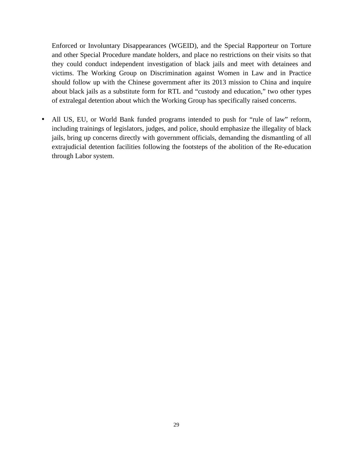Enforced or Involuntary Disappearances (WGEID), and the Special Rapporteur on Torture and other Special Procedure mandate holders, and place no restrictions on their visits so that they could conduct independent investigation of black jails and meet with detainees and victims. The Working Group on Discrimination against Women in Law and in Practice should follow up with the Chinese government after its 2013 mission to China and inquire about black jails as a substitute form for RTL and "custody and education," two other types of extralegal detention about which the Working Group has specifically raised concerns.

• All US, EU, or World Bank funded programs intended to push for "rule of law" reform, including trainings of legislators, judges, and police, should emphasize the illegality of black jails, bring up concerns directly with government officials, demanding the dismantling of all extrajudicial detention facilities following the footsteps of the abolition of the Re-education through Labor system.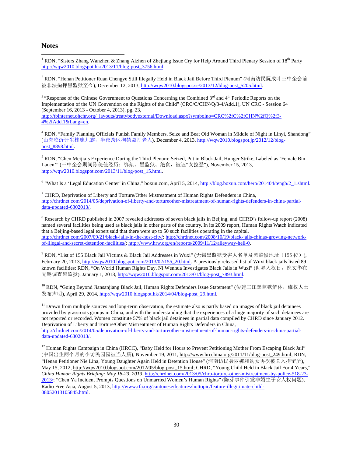#### **Notes**

!!!!!!!!!!!!!!!!!!!!!!!!!!!!!!!!!!!!!!!!!!!!!!!!!!!!!!!

<sup>1</sup> RDN, "Sisters Zhang Wanzhen & Zhang Aizhen of Zhejiang Issue Cry for Help Around Third Plenary Session of 18<sup>th</sup> Party http://wqw2010.blogspot.hk/2013/11/blog-post\_3756.html.

<sup>2</sup> RDN, "Henan Petitioner Ruan Chengye Still Illegally Held in Black Jail Before Third Plenum" (河南访民阮成叶三中全会前 被非法拘押黑监狱至今), December 12, 2013, http://wqw2010.blogspot.se/2013/12/blog-post\_5205.html.

<sup>3</sup> "Response of the Chinese Government to Questions Concerning the Combined 3<sup>rd</sup> and 4<sup>th</sup> Periodic Reports on the Implementation of the UN Convention on the Rights of the Child" (CRC/C/CHN/Q/3-4/Add.1), UN CRC - Session 64 (September 16, 2013 - October 4, 2013), pg. 23, http://tbinternet.ohchr.org/\_layouts/treatybodyexternal/Download.aspx?symbolno=CRC%2fC%2fCHN%2fO%2f3-4%2fAdd.1&Lang=en.

<sup>4</sup> RDN, "Family Planning Officials Punish Family Members, Seize and Beat Old Woman in Middle of Night in Linyi, Shandong" (山东临沂计生株连九族, 半夜跨区拘禁殴打老人), December 4, 2013, http://wqw2010.blogspot.jp/2012/12/blogpost\_8898.html.

<sup>5</sup> RDN, "Chen Meijia's Experience During the Third Plenum: Seized, Put in Black Jail, Hunger Strike, Labeled as 'Female Bin Laden" (三中全会期间陈美佳经历: 绑架、黑监狱、绝食, 被诬"女拉登"), November 15, 2013, http://wqw2010.blogspot.com/2013/11/blog-post\_15.html.

<sup>6</sup> "What Is a 'Legal Education Center' in China," boxun.com, April 5, 2014, http://blog.boxun.com/hero/201404/tengb/2\_1.shtml.

 $7$  CHRD, Deprivation of Liberty and Torture/Other Mistreatment of Human Rights Defenders in China, http://chrdnet.com/2014/05/deprivation-of-liberty-and-tortureother-mistreatment-of-human-rights-defenders-in-china-partialdata-updated-6302013/.

<sup>8</sup> Research by CHRD published in 2007 revealed addresses of seven black jails in Beijing, and CHRD's follow-up report (2008) named several facilities being used as black jails in other parts of the country. In its 2009 report, Human Rights Watch indicated that a Beijing-based legal expert said that there were up to 50 such facilities operating in the capital. http://chrdnet.com/2007/09/21/black-jails-in-the-host-city/; http://chrdnet.com/2008/10/19/black-jails-chinas-growing-networkof-illegal-and-secret-detention-facilities/; http://www.hrw.org/en/reports/2009/11/12/alleyway-hell-0.

 $^9$  RDN, "List of 155 Black Jail Victims & Black Jail Addresses in Wuxi" (无锡黑监狱受害人名单及黑监狱地址(155 位)), February 20, 2013, http://wqw2010.blogspot.com/2013/02/155\_20.html. A previously released list of Wuxi black jails listed 89 known facilities: RDN, "On World Human Rights Day, Ni Wenhua Investigates Black Jails in Wuxi" (世界人权日, 倪文华在 无锡调查黑监狱), January 1, 2013, http://wqw2010.blogspot.com/2013/01/blog-post\_7893.html.

 $^{10}$  RDN, "Going Beyond Jiansanjiang Black Jail, Human Rights Defenders Issue Statement" (传建三江黑监狱解体,维权人士 发布声明), April 29, 2014, http://wqw2010.blogspot.hk/2014/04/blog-post\_29.html.

 $11$  Drawn from multiple sources and long-term observation, the estimate also is partly based on images of black jail detainees provided by grassroots groups in China, and with the understanding that the experiences of a huge majority of such detainees are not reported or recorded. Women constitute 57% of black jail detainees in partial data compiled by CHRD since January 2012. Deprivation of Liberty and Torture/Other Mistreatment of Human Rights Defenders in China, http://chrdnet.com/2014/05/deprivation-of-liberty-and-tortureother-mistreatment-of-human-rights-defenders-in-china-partialdata-updated-6302013/.

<sup>12</sup> Human Rights Campaign in China (HRCC), "Baby Held for Hours to Prevent Petitioning Mother From Escaping Black Jail" (中国出生两个月的小访民园园被当人质), November 19, 2011, http://www.hrcchina.org/2011/11/blog-post\_249.html; RDN, "Henan Petitioner Nie Lina, Young Daughter Again Held in Detention House" (河南访民聂丽娜和幼女再次被关入拘留所), May 15, 2012, http://wqw2010.blogspot.com/2012/05/blog-post\_15.html; CHRD, "Young Child Held in Black Jail For 4 Years," *China Human Rights Briefing: May 18-23, 2013,* http://chrdnet.com/2013/05/chrb-torture-other-mistreatment-by-police-518-23- 2013/; "Chen Ya Incident Prompts Questions on Unmarried Women's Human Rights" (陈芽事件引发非婚生子女人权问题), Radio Free Asia, August 5, 2013, http://www.rfa.org/cantonese/features/hottopic/feature-illegitimate-child-08052013105845.html.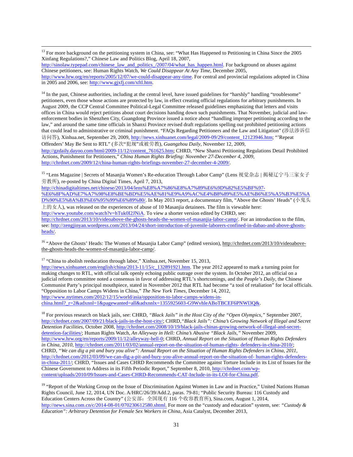<sup>13</sup> For more background on the petitioning system in China, see: "What Has Happened to Petitioning in China Since the 2005 Xinfang Regulations?," Chinese Law and Politics Blog, April 18, 2007,

!!!!!!!!!!!!!!!!!!!!!!!!!!!!!!!!!!!!!!!!!!!!!!!!!!!!!!!!!!!!!!!!!!!!!!!!!!!!!!!!!!!!!!!!!!!!!!!!!!!!!!!!!!!!!!!!!!!!!!!!!!!!!!!!!!!!!!!!!!!!!!!!!!!!!!!!!!!!!!!!!!!!!!!!!!!!!!!!!!

http://sinolaw.typepad.com/chinese\_law\_and\_politics\_/2007/04/what\_has\_happen.html. For background on abuses against Chinese petitioners, see: Human Rights Watch, *We Could Disappear At Any Time*, December 2005, http://www.hrw.org/en/reports/2005/12/07/we-could-disappear-any-time. For central and provincial regulations adopted in China in 2005 and 2006, see: http://www.gjxfj.com/xftl.htm.

<sup>14</sup> In the past, Chinese authorities, including at the central level, have issued guidelines for "harshly" handling "troublesome" petitioners, even those whose actions are protected by law, in effect creating official regulations for arbitrary punishments. In August 2009, the CCP Central Committee Political-Legal Committee released guidelines emphasizing that letters and visits offices in China would reject petitions about court decisions handing down such punishments. That November, judicial and lawenforcement bodies in Shenzhen City, Guangdong Province issued a notice about "handling improper petitioning according to the law," and around the same time officials in Shanxi Province revised draft regulations spelling out prohibited petitioning actions that could lead to administrative or criminal punishment. "FAQs Regarding Petitioners and the Law and Litigation" (涉法涉诉信 ǦȔƚ), Xinhua.net, September 29, 2009, http://news.xinhuanet.com/legal/2009-09/29/content\_12123946.htm; "'Repeat Offenders' May Be Sent to RTL" (多次"犯规"或被劳教), *Guangzhou Daily*, November 12, 2009,

http://gzdaily.dayoo.com/html/2009-11/12/content\_761625.htm; CHRD, "New Shanxi Petitioning Regulations Detail Prohibited Actions, Punishment for Petitioners," *China Human Rights Briefing: November 27-December 4, 2009*, http://chrdnet.com/2009/12/china-human-rights-briefings-november-27-december-4-2009/.

<sup>15</sup> "Lens Magazine | Secrets of Masanjia Women's Re-education Through Labor Camp" (Lens 视觉杂志 | 揭秘辽宁马三家女子 劳教所), re-posted by China Digital Times, April 7, 2013,

http://chinadigitaltimes.net/chinese/2013/04/lens%E8%A7%86%E8%A7%89%E6%9D%82%E5%BF%97- %E6%8F%AD%E7%A7%98%E8%BE%BD%E5%AE%81%E9%A9%AC%E4%B8%89%E5%AE%B6%E5%A5%B3%E5%A

D%90%E5%8A%B3%E6%95%99%E6%89%80/. In May 2013 report, a documentary film, "Above the Ghosts' Heads" (小鬼头 上的女人), was released on the experiences of abuse of 10 Masanjia detainees. The film is viewable here: http://www.youtube.com/watch?v=hTuk0I2JNiA. To view a shorter version edited by CHRD, see:

http://chrdnet.com/2013/10/videoabove-the-ghosts-heads-the-women-of-masanjia-labor-camp/. For an introduction to the film, see: http://zengjinyan.wordpress.com/2013/04/24/short-introduction-of-juvenile-laborers-confined-in-dabao-and-above-ghostsheads/.

<sup>16</sup> "Above the Ghosts' Heads: The Women of Masanjia Labor Camp" (edited version), http://chrdnet.com/2013/10/videoabovethe-ghosts-heads-the-women-of-masanjia-labor-camp/.

<sup>17</sup> "China to abolish reeducation through labor," Xinhua.net, November 15, 2013,

http://news.xinhuanet.com/english/china/2013-11/15/c\_132891921.htm. The year 2012 appeared to mark a turning point for making changes to RTL, with official talk openly echoing public outrage over the system. In October 2012, an official on a judicial reform committee noted a consensus in favor of addressing RTL's shortcomings, and the *People's Daily*, the Chinese Communist Party's principal mouthpiece, stated in November 2012 that RTL had become "a tool of retaliation" for local officials. "Opposition to Labor Camps Widens in China," *The New York Times*, December 14, 2012, http://www.nytimes.com/2012/12/15/world/asia/opposition-to-labor-camps-widens-in-

china.html?\_r=2&adxnnl=1&pagewanted=all&adxnnlx=1355925603-G9WvhleABoTBCEF6PNWl3Q&.

<sup>18</sup> For previous research on black jails, see: CHRD, "Black Jails" in the Host City of the "Open Olympics," September 2007, http://chrdnet.com/2007/09/21/black-jails-in-the-host-city/; CHRD,*"Black Jails": China's Growing Network of Illegal and Secret Detention Facilities*, October 2008, http://chrdnet.com/2008/10/19/black-jails-chinas-growing-network-of-illegal-and-secretdetention-facilities/; Human Rights Watch, *An Alleyway in Hell: China's Abusive "Black Jails,"* November 2009, http://www.hrw.org/en/reports/2009/11/12/alleyway-hell-0; CHRD, *Annual Report on the Situation of Human Rights Defenders in China, 2010*, http://chrdnet.com/2011/03/02/annual-report-on-the-situation-of-human-rights- defenders-in-china-2010/; CHRD, *"We can dig a pit and bury you alive": Annual Report on the Situation of Human Rights Defenders in China, 2011*, http://chrdnet.com/2012/03/09/we-can-dig-a-pit-and-bury-you-alive-annual-report-on-the-situation-of- human-rights-defendersin-china-2011/; CHRD, "Issues and Cases CHRD Recommends the Committee against Torture Include in its List of Issues for the Chinese Government to Address in its Fifth Periodic Report," September 8, 2010, http://chrdnet.com/wpcontent/uploads/2010/09/Issues-and-Cases-CHRD-Recommends-CAT-Include-in-its-LOI-for-China.pdf.

<sup>19</sup> "Report of the Working Group on the Issue of Discrimination Against Women in Law and in Practice," United Nations Human Rights Council, June 12, 2014, UN Doc. A/HRC/26/39/Add.2, paras. 79-81; "Public Security Bureau: 116 Custody and Education Centers Across the Country" (公安部: 全国现有 116 个收容教育所), Sina.com, August 1, 2014, http://news.sina.com.cn/c/2014-08-01/070230612580.shtml. For more on the "custody and education" system, see: *"Custody & Education": Arbitrary Detention for Female Sex Workers in China*, Asia Catalyst, December 2013,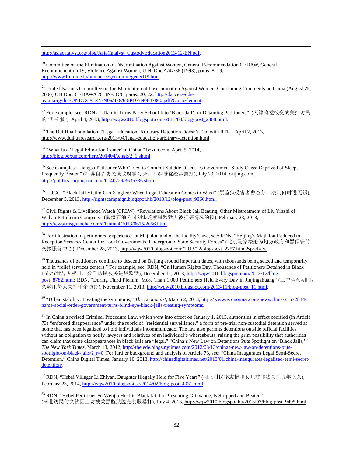http://asiacatalyst.org/blog/AsiaCatalyst\_CustodyEducation2013-12-EN.pdf.

<sup>20</sup> Committee on the Elimination of Discrimination Against Women, General Recommendation CEDAW, General Recommendation 19, Violence Against Women, U.N. Doc A/47/38 (1993), paras. 8, 19, http://www1.umn.edu/humanrts/gencomm/generl19.htm.

 $21$  United Nations Committee on the Elimination of Discrimination Against Women, Concluding Comments on China (August 25, 2006) UN Doc. CEDAW/C/CHN/CO/6, paras. 20, 22, http://daccess-ddsny.un.org/doc/UNDOC/GEN/N06/478/60/PDF/N0647860.pdf?OpenElement.

!!!!!!!!!!!!!!!!!!!!!!!!!!!!!!!!!!!!!!!!!!!!!!!!!!!!!!!!!!!!!!!!!!!!!!!!!!!!!!!!!!!!!!!!!!!!!!!!!!!!!!!!!!!!!!!!!!!!!!!!!!!!!!!!!!!!!!!!!!!!!!!!!!!!!!!!!!!!!!!!!!!!!!!!!!!!!!!!!!

<sup>22</sup> For example, see: RDN, "Tianjin Turns Party School Into 'Black Jail' for Detaining Petitioners" (天津将党校变成关押访民 的"黑监狱"), April 4, 2013, http://wqw2010.blogspot.com/2013/04/blog-post\_2808.html.

<sup>23</sup> The Dui Hua Foundation, "Legal Education: Arbitrary Detention Doesn't End with RTL," April 2, 2013, http://www.duihuaresearch.org/2013/04/legal-education-arbitrary-detention.html.

<sup>24</sup> "What Is a 'Legal Education Center' in China," boxun.com, April 5, 2014, http://blog.boxun.com/hero/201404/tengb/2\_1.shtml.

<sup>25</sup> See examples: "Jiangsu Petitioner Who Tried to Commit Suicide Discusses Government Study Class: Deprived of Sleep, Frequently Beaten" (江苏自杀访民谈政府学习班: 不准睡觉经常挨打), July 29, 2014, caijing.com, http://politics.caijing.com.cn/20140729/3635736.shtml.

<sup>26</sup> HRCC, "Black Jail Victim Cao Xingfen: When Legal Education Comes to Wuxi" (黑监狱受害者曹杏芬: 法制何时进无锡), December 5, 2013, http://rightscampaign.blogspot.hk/2013/12/blog-post\_9360.html.

<sup>27</sup> Civil Rights & Livelihood Watch (CRLW), "Revelations About Black Jail Beating, Other Mistreatment of Liu Yinzhi of Wuhan Petroleum Company" (武汉石油公司刘银芝就黑监狱内被打等情况的控), February 23, 2013, http://www.msguancha.com/a/lanmu4/2013/0615/2056.html.

<sup>28</sup> For illustration of petitioners' experiences at Majialou and of the facility's use, see: RDN, "Beijing's Majialou Reduced to Reception Services Center for Local Governments, Underground State Security Forces" (北京马家楼沦为地方政府和黑保安的 交接服务中心), December 28, 2013, http://wqw2010.blogspot.com/2013/12/blog-post\_2257.html?spref=tw.

 $^{29}$  Thousands of petitioners continue to descend on Beijing around important dates, with thousands being seized and temporarily held in "relief services centers." For example, see: RDN, "On Human Rights Day, Thousands of Petitioners Detained in Black Jails" (世界人权日, 数千访民被关进黑监狱), December 11, 2013, http://wqw2010.blogspot.com/2013/12/blogpost\_8782.html; RDN, "During Third Plenum, More Than 1,000 Petitioners Held Every Day in Jiujingzhuang" (三中全会期间, 久敬庄每天关押千余访民), November 11, 2013, http://wqw2010.blogspot.com/2013/11/blog-post\_11.html.

<sup>30</sup> "Urban stability: Treating the symptoms," *The Economist*, March 2, 2013, http://www.economist.com/news/china/21572814 name-social-order-government-turns-blind-eye-black-jails-treating-symptoms.

 $31$  In China's revised Criminal Procedure Law, which went into effect on January 1, 2013, authorities in effect codified (in Article 73) "enforced disappearance" under the rubric of "residential surveillance," a form of pre-trial non-custodial detention served at home that has been legalized to hold individuals incommunicado. The law also permits detentions outside official facilities without an obligation to notify lawyers and relatives of an individual's whereabouts, raising the grim possibility that authorities can claim that some disappearances in black jails are "legal." "China's New Law on Detentions Puts Spotlight on 'Black Jails,'" *The New York Times*, March 13, 2012, http://thelede.blogs.nytimes.com/2012/03/13/chinas-new-law-on-detentions-putsspotlight-on-black-jails/?\_r=0. For further background and analysis of Article 73, see: "China Inaugurates Legal Semi-Secret Detention," China Digital Times, January 10, 2013, http://chinadigitaltimes.net/2013/01/china-inaugurates-legalised-semi-secretdetention/.

 $32$  RDN, "Hebei Villager Li Zhiyan, Daughter Illegally Held for Five Years" (河北村民李志艳和女儿被非法关押五年之久), February 23, 2014, http://wqw2010.blogspot.se/2014/02/blog-post\_4931.html.

<sup>33</sup> RDN, "Hebei Petitioner Fu Wenjia Held in Black Jail for Presenting Grievance, Is Stripped and Beaten" (河北访民付文侠因上访被关黑监狱脱光衣服暴打), July 4, 2013, http://wqw2010.blogspot.hk/2013/07/blog-post\_9495.html.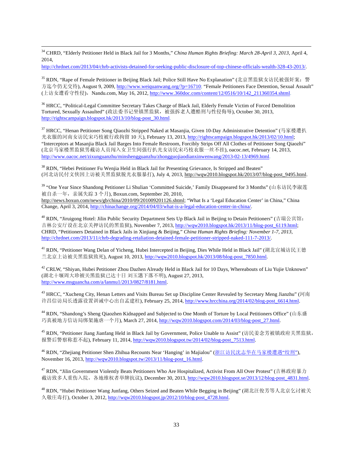!!!!!!!!!!!!!!!!!!!!!!!!!!!!!!!!!!!!!!!!!!!!!!!!!!!!!!!!!!!!!!!!!!!!!!!!!!!!!!!!!!!!!!!!!!!!!!!!!!!!!!!!!!!!!!!!!!!!!!!!!!!!!!!!!!!!!!!!!!!!!!!!!!!!!!!!!!!!!!!!!!!!!!!!!!!!!!!!!! <sup>34</sup> CHRD, "Elderly Petitioner Held in Black Jail for 3 Months," *China Human Rights Briefing: March 28-April 3, 2013*, April 4, 2014,

http://chrdnet.com/2013/04/chrb-activists-detained-for-seeking-public-disclosure-of-top-chinese-officials-wealth-328-43-2013/.

<sup>35</sup> RDN, "Rape of Female Petitioner in Beijing Black Jail; Police Still Have No Explanation" (北京黑监狱女访民被强奸案: 警 方迄今仍无交待), August 9, 2009, http://www.weiquanwang.org/?p=16710; "Female Petitioners Face Detention, Sexual Assault" (上访女遭看守性侵), Nandu.com, May 16, 2012, http://www.360doc.com/content/12/0516/10/142\_211360354.shtml.

<sup>36</sup> HRCC, "Political-Legal Committee Secretary Takes Charge of Black Jail, Elderly Female Victim of Forced Demolition Tortured, Sexually Assaulted" (政法委书记坐镇黑监狱, 被强拆老人遭酷刑与性侵侮辱), October 30, 2013, http://rightscampaign.blogspot.hk/2013/10/blog-post\_30.html.

37 HRCC, "Henan Petitioner Song Qiaozhi Stripped Naked at Masanjia, Given 10-Day Administrative Detention" (马家楼遭扒 光衣服的河南女访民宋巧枝被行政拘留 10 天), February 13, 2013, http://rightscampaign.blogspot.hk/2013/02/10.html; "Interceptors at Masanjia Black Jail Barges Into Female Restroom, Forcibly Strips Off All Clothes of Petitioner Song Qiaozhi" (北京马家楼黑监狱男截访人员闯入女卫生间强行扒光女访民宋巧枝衣服一丝不挂), oacoc.net, February 14, 2013, http://www.oacoc.net/zixunguanzhu/minshengguanzhu/zhongguojiaodianxinwenwang/2013-02-13/4969.html.

<sup>38</sup> RDN, "Hebei Petitioner Fu Wenjia Held in Black Jail for Presenting Grievance, Is Stripped and Beaten" (河北访民付文侠因上访被关黑监狱脱光衣服暴打), July 4, 2013, http://wqw2010.blogspot.hk/2013/07/blog-post\_9495.html.

<sup>39</sup> "One Year Since Shandong Petitioner Li Shulian 'Committed Suicide,' Family Disappeared for 3 Months" (山东访民李淑莲 被自杀一年, 亲属失踪 3 个月), Boxun.com, September 20, 2010, http://news.boxun.com/news/gb/china/2010/09/201009201126.shtml; "What Is a 'Legal Education Center' in China," China Change, April 3, 2014, http://chinachange.org/2014/04/03/what-is-a-legal-education-center-in-china/.

<sup>40</sup> RDN, "Jiruigong Hotel: Jilin Public Security Department Sets Up Black Jail in Beijing to Detain Petitioners" (吉瑞公宾馆: 吉林公安厅设在北京关押访民的黑监狱), November 7, 2013, http://wqw2010.blogspot.hk/2013/11/blog-post\_6119.html; CHRD, "Petitioners Detained in Black Jails in Xinjiang & Beijing," *China Human Rights Briefing: November 1-7, 2013*, http://chrdnet.com/2013/11/chrb-degrading-retaliation-detained-female-petitioner-stripped-naked-111-7-2013/.

<sup>41</sup> RDN, "Petitioner Wang Delan of Yicheng, Hubei Intercepted in Beijing, Dies While Held in Black Jail" (湖北宜城访民王德 兰北京上访被关黑监狱致死), August 10, 2013, http://wqw2010.blogspot.hk/2013/08/blog-post\_7850.html.

 $42$  CRLW, "Shiyan, Hubei Petitioner Zhou Dazhen Already Held in Black Jail for 10 Days, Whereabouts of Liu Yujie Unknown" (湖北十堰周大珍被关黑监狱已达十日 刘玉洁下落不明), August 27, 2013, http://www.msguancha.com/a/lanmu1/2013/0827/8181.html.

 $43$  HRCC, "Xucheng City, Henan Letters and Visits Bureau Set up Discipline Center Revealed by Secretary Meng Jianzhu" (河南 许昌信访局长透露设置训诫中心出自孟建柱), February 25, 2014, http://www.hrcchina.org/2014/02/blog-post\_6614.html.

<sup>44</sup> RDN, "Shandong's Sheng Qiaozhen Kidnapped and Subjected to One Month of Torture by Local Petitioners Office" (山东盛 巧真被地方信访局绑架施虐一个月), March 27, 2014, http://wqw2010.blogspot.com/2014/03/blog-post\_27.html.

<sup>45</sup> RDN, "Petitioner Jiang Jianfang Held in Black Jail by Government, Police Unable to Assist" (访民姜念芳被镇政府关黑监狱, 报警后警察称惹不起), February 11, 2014, http://wqw2010.blogspot.tw/2014/02/blog-post\_7513.html.

<sup>46</sup> RDN, "Zhejiang Petitioner Shen Zhihua Recounts Near 'Hanging' in Majialou" (浙江访民沈志华在马家楼遭遇"绞刑"), November 16, 2013, http://wqw2010.blogspot.tw/2013/11/blog-post\_16.html.

<sup>47</sup> RDN, "Jilin Government Violently Beats Petitioners Who Are Hospitalized, Activist From All Over Protest" (吉林政府暴力 截访致多人重伤入院, 各地维权者举牌抗议), December 30, 2013, http://wqw2010.blogspot.se/2013/12/blog-post\_4831.html.

<sup>48</sup> RDN, "Hubei Petitioner Wang Junfang, Others Seized and Beaten While Begging in Beijing" (湖北汪俊芳等人北京乞讨被关 久敬庄毒打), October 3, 2012, http://wqw2010.blogspot.jp/2012/10/blog-post\_4728.html.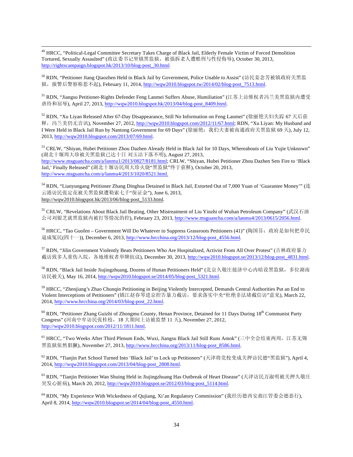!!!!!!!!!!!!!!!!!!!!!!!!!!!!!!!!!!!!!!!!!!!!!!!!!!!!!!!!!!!!!!!!!!!!!!!!!!!!!!!!!!!!!!!!!!!!!!!!!!!!!!!!!!!!!!!!!!!!!!!!!!!!!!!!!!!!!!!!!!!!!!!!!!!!!!!!!!!!!!!!!!!!!!!!!!!!!!!!!! <sup>49</sup> HRCC, "Political-Legal Committee Secretary Takes Charge of Black Jail, Elderly Female Victim of Forced Demolition Tortured, Sexually Assaulted" (政法委书记坐镇黑监狱, 被强拆老人遭酷刑与性侵侮辱), October 30, 2013, http://rightscampaign.blogspot.hk/2013/10/blog-post\_30.html.

50 RDN, "Petitioner Jiang Qiaozhen Held in Black Jail by Government, Police Unable to Assist" (访民姜念芳被镇政府关黑监 狱, 报警后警察称惹不起), February 11, 2014, http://wqw2010.blogspot.tw/2014/02/blog-post\_7513.html.

51 RDN, "Jiangsu Petitioner-Rights Defender Feng Lanmei Suffers Abuse, Humiliation" (江苏上访维权者冯兰美黑监狱内遭受 虐待和屈辱), April 27, 2013, http://wqw2010.blogspot.hk/2013/04/blog-post\_8409.html.

 $52$  RDN, "Xu Liyan Released After 67-Day Disappearance, Still No Information on Feng Lanmei" (徐丽艳夫妇失踪 67 天后获 释, 冯兰美仍无音讯), November 27, 2012, http://wqw2010.blogspot.com/2012/11/67.html; RDN, "Xu Liyan: My Husband and I Were Held in Black Jail Run by Nantong Government for 69 Days" (徐丽艳: 我们夫妻被南通政府关黑监狱 69 天), July 12, 2013, http://wqw2010.blogspot.com/2013/07/69.html.

53 CRLW, "Shiyan, Hubei Petitioner Zhou Dazhen Already Held in Black Jail for 10 Days, Whereabouts of Liu Yujie Unknown" (湖北十堰周大珍被关黑监狱已达十日 刘玉洁下落不明), August 27, 2013, http://www.msguancha.com/a/lanmu1/2013/0827/8181.html; CRLW, "Shiyan, Hubei Petitioner Zhou Dazhen Sets Fire to 'Black Jail,' Finally Released" (湖北十堰访民周大珍火烧"黑监狱"终于获释), October 20, 2013, http://www.msguancha.com/a/lanmu4/2013/1020/8521.html.

 $54$  RDN, "Lianyungang Petitioner Zhang Dinghua Detained in Black Jail, Extorted Out of 7,000 Yuan of 'Guarantee Money'" (连 云港访民张定花被关黑监狱遭勒索七千"保证金"), June 6, 2013, http://wqw2010.blogspot.hk/2013/06/blog-post\_5133.html.

<sup>55</sup> CRLW, "Revelations About Black Jail Beating, Other Mistreatment of Liu Yinzhi of Wuhan Petroleum Company" (武汉石油 公司刘银芝就黑监狱内被打等情况的控), February 23, 2013, http://www.msguancha.com/a/lanmu4/2013/0615/2056.html.

<sup>56</sup> HRCC, "Tao Guofen – Government Will Do Whatever to Suppress Grassroots Petitioners (41)" (陶国芬: 政府是如何把草民 逼成冤民(四十一)), December 6, 2013, http://www.hrcchina.org/2013/12/blog-post\_4556.html.

57 RDN, "Jilin Government Violently Beats Petitioners Who Are Hospitalized, Activist From All Over Protest" (吉林政府暴力 截访致多人重伤入院, 各地维权者举牌抗议), December 30, 2013, http://wqw2010.blogspot.se/2013/12/blog-post\_4831.html.

58 RDN, "Black Jail Inside Jiujingzhuang, Dozens of Hunan Petitioners Held" (北京久敬庄接济中心内暗设黑监狱, 多位湖南 访民被关), May 16, 2014, http://wqw2010.blogspot.se/2014/05/blog-post\_5321.html.

<sup>59</sup> HRCC, "Zhenjiang's Zhao Chunqin Petitioning in Beijing Violently Intercepted, Demands Central Authorities Put an End to Violent Interceptions of Petitioners" (镇江赵春琴进京控告暴力截访, 要求落实中央"杜绝非法堵截信访"意见), March 22, 2014, http://www.hrcchina.org/2014/03/blog-post\_22.html.

<sup>60</sup> RDN, "Petitioner Zhang Guizhi of Zhongmu County, Henan Province, Detained for 11 Days During 18<sup>th</sup> Communist Party Congress" (河南中牟访民张桂枝, 18 大期间上访被监禁 11 天), November 27, 2012, http://wqw2010.blogspot.com/2012/11/1811.html.

<sup>61</sup> HRCC, "Two Weeks After Third Plenum Ends, Wuxi, Jiangsu Black Jail Still Runs Amok" (三中全会结束两周, 江苏无锡 黑监狱依然猖獗), November 27, 2013, http://www.hrcchina.org/2013/11/blog-post\_8586.html.

 $^{62}$  RDN, "Tianjin Part School Turned Into 'Black Jail' to Lock up Petitioners" (天津将党校变成关押访民德"黑监狱"), April 4, 2014, http://wqw2010.blogspot.com/2013/04/blog-post\_2808.html.

<sup>63</sup> RDN, "Tianjin Petitioner Wan Shuing Held in Jiujingzhuang Has Outbreak of Heart Disease" (天津访民万淑明被关押久敬庄 突发心脏病), March 20, 2012, http://wqw2010.blogspot.se/2012/03/blog-post\_5114.html.

<sup>64</sup> RDN, "My Experience With Wickedness of Quiiang, Xi'an Regulatory Commission" (我经历德西安曲江管委会德恶行), April 8, 2014, http://wqw2010.blogspot.se/2014/04/blog-post\_4550.html.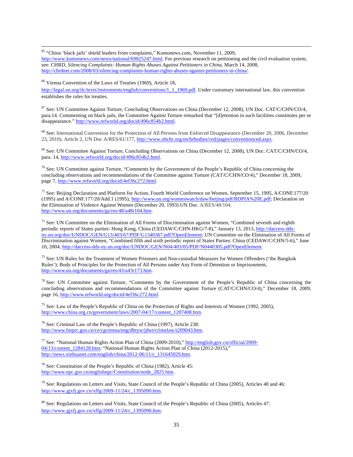<sup>65</sup> "China 'black jails' shield leaders from complaints," Komonews.com, November 11, 2009, http://www.komonews.com/news/national/69825247.html. For previous research on petitioning and the civil evaluation system, see: CHRD, Silencing Complaints: Human Rights Abuses Against Petitioners in China, March 14, 2008, http://chrdnet.com/2008/03/silencing-complaints-human-rights-abuses-against-petitioners-in-china/.

!!!!!!!!!!!!!!!!!!!!!!!!!!!!!!!!!!!!!!!!!!!!!!!!!!!!!!!!!!!!!!!!!!!!!!!!!!!!!!!!!!!!!!!!!!!!!!!!!!!!!!!!!!!!!!!!!!!!!!!!!!!!!!!!!!!!!!!!!!!!!!!!!!!!!!!!!!!!!!!!!!!!!!!!!!!!!!!!!!

<sup>66</sup> Vienna Convention of the Laws of Treaties (1969), Article 18,

http://legal.un.org/ilc/texts/instruments/english/conventions/1\_1\_1969.pdf. Under customary international law, this convention establishes the rules for treaties.

 $67$  See: UN Committee Against Torture, Concluding Observations on China (December 12, 2008), UN Doc. CAT/C/CHN/CO/4, para.14. Commenting on black jails, the Committee Against Torture remarked that "[d]etention in such facilities constitutes per se disappearance." http://www.refworld.org/docid/496c854b2.html.

<sup>68</sup> See: International Convention for the Protection of All Persons from Enforced Disappearance (December 20, 2006, December 23, 2010), Article 2, UN Doc A/RES/61/177, http://www.ohchr.org/en/hrbodies/ced/pages/conventionced.aspx.

 $^{69}$  See: UN Committee Against Torture, Concluding Observations on China (December 12, 2008), UN Doc. CAT/C/CHN/CO/4, para. 14, http://www.refworld.org/docid/496c854b2.html.

 $70$  See: UN Committee against Torture, "Comments by the Government of the People's Republic of China concerning the concluding observations and recommendations of the Committee against Torture (CAT/C/CHN/CO/4)," December 18, 2009, page 7, http://www.refworld.org/docid/4ef36c272.html.

 $<sup>71</sup>$  See: Beijing Declaration and Platform for Action, Fourth World Conference on Women, September 15, 1995, A/CONF.177/20</sup> (1995) and A/CONF.177/20/Add.1 (1995), http://www.un.org/womenwatch/daw/beijing/pdf/BDPfA%20E.pdf; Declaration on the Elimination of Violence Against Women (December 20, 1993) UN Doc. A/RES/48/104, http://www.un.org/documents/ga/res/48/a48r104.htm.

 $72$  See: UN Committee on the Elimination of All Forms of Discrimination against Women, "Combined seventh and eighth periodic reports of States parties: Hong Kong, China (CEDAW/C/CHN-HKG/7-8)," January 13, 2013, http://daccess-ddsny.un.org/doc/UNDOC/GEN/G13/403/67/PDF/G1340367.pdf?OpenElement; UN Committee on the Elimination of All Forms of Discrimination against Women, "Combined fifth and sixth periodic report of States Parties: China (CEDAW/C/CHN/5-6)," June 10, 2004, http://daccess-dds-ny.un.org/doc/UNDOC/GEN/N04/403/05/PDF/N0440305.pdf?OpenElement.

 $73$  See: UN Rules for the Treatment of Women Prisoners and Non-custodial Measures for Women Offenders ('the Bangkok Rules'); Body of Principles for the Protection of All Persons under Any Form of Detention or Imprisonment, http://www.un.org/documents/ga/res/43/a43r173.htm.

<sup>74</sup> See: UN Committee against Torture, "Comments by the Government of the People's Republic of China concerning the concluding observations and recommendations of the Committee against Torture (CAT/C/CHN/CO/4)," December 18, 2009, page 16, http://www.refworld.org/docid/4ef36c272.html.

<sup>75</sup> See: Law of the People's Republic of China on the Protection of Rights and Interests of Women (1992, 2005), http://www.china.org.cn/government/laws/2007-04/17/content\_1207408.htm.

<sup>76</sup> See: Criminal Law of the People's Republic of China (1997), Article 238: http://www.fmprc.gov.cn/ce/cgvienna/eng/dbtyw/jdwt/crimelaw/t209043.htm.

<sup>77</sup> See: "National Human Rights Action Plan of China (2009-2010)," http://english.gov.cn/official/2009- 04/13/content\_1284128.htm; "National Human Rights Action Plan of China (2012-2015)," http://news.xinhuanet.com/english/china/2012-06/11/c\_131645029.htm.

<sup>78</sup> See: Constitution of the People's Republic of China (1982), Article 45: http://www.npc.gov.cn/englishnpc/Constitution/node\_2825.htm.

 $79$  See: Regulations on Letters and Visits, State Council of the People's Republic of China (2005), Articles 40 and 46: http://www.gjxfj.gov.cn/xffg/2009-11/24/c\_1395090.htm.

<sup>80</sup> See: Regulations on Letters and Visits, State Council of the People's Republic of China (2005), Articles 47: http://www.gjxfj.gov.cn/xffg/2009-11/24/c\_1395090.htm.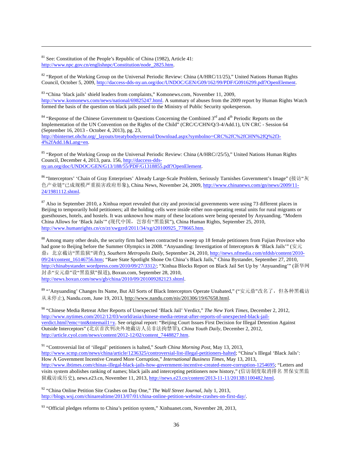$81$  See: Constitution of the People's Republic of China (1982), Article 41: http://www.npc.gov.cn/englishnpc/Constitution/node\_2825.htm.

<sup>82</sup> "Report of the Working Group on the Universal Periodic Review: China (A/HRC/11/25)," United Nations Human Rights Council, October 5, 2009, http://daccess-dds-ny.un.org/doc/UNDOC/GEN/G09/162/99/PDF/G0916299.pdf?OpenElement.

<sup>83</sup> "China 'black jails' shield leaders from complaints," Komonews.com, November 11, 2009, http://www.komonews.com/news/national/69825247.html. A summary of abuses from the 2009 report by Human Rights Watch formed the basis of the question on black jails posed to the Ministry of Public Security spokesperson.

!!!!!!!!!!!!!!!!!!!!!!!!!!!!!!!!!!!!!!!!!!!!!!!!!!!!!!!!!!!!!!!!!!!!!!!!!!!!!!!!!!!!!!!!!!!!!!!!!!!!!!!!!!!!!!!!!!!!!!!!!!!!!!!!!!!!!!!!!!!!!!!!!!!!!!!!!!!!!!!!!!!!!!!!!!!!!!!!!!

<sup>84</sup> "Response of the Chinese Government to Questions Concerning the Combined 3<sup>rd</sup> and 4<sup>th</sup> Periodic Reports on the Implementation of the UN Convention on the Rights of the Child" (CRC/C/CHN/Q/3-4/Add.1), UN CRC - Session 64 (September 16, 2013 - October 4, 2013), pg. 23, http://tbinternet.ohchr.org/\_layouts/treatybodyexternal/Download.aspx?symbolno=CRC%2fC%2fCHN%2fQ%2f3- 4%2fAdd.1&Lang=en.

<sup>85</sup> "Report of the Working Group on the Universal Periodic Review: China (A/HRC//25/5)," United Nations Human Rights Council, December 4, 2013, para. 156, http://daccess-ddsny.un.org/doc/UNDOC/GEN/G13/188/55/PDF/G1318855.pdf?OpenElement.

86 "Interceptors' 'Chain of Gray Enterprises' Already Large-Scale Problem, Seriously Tarnishes Government's Image" (接访"灰 色产业链"已成规模严重损害政府形象), China News, November 24, 2009, http://www.chinanews.com/gn/news/2009/11-24/1981112.shtml.

 $87$  Also in September 2010, a Xinhua report revealed that city and provincial governments were using 73 different places in Beijing to temporarily hold petitioners; all the holding cells were inside either non-operating rental units for rural migrants or guesthouses, hotels, and hostels. It was unknown how many of these locations were being operated by Anyuanding. "Modern China Allows for 'Black Jails'" (现代中国, 岂容有"黑监狱"), China Human Rights, September 25, 2010, http://www.humanrights.cn/cn/zt/xwgzrd/2011/34/xg/t20100925\_778665.htm.

<sup>88</sup> Among many other deals, the security firm had been contracted to sweep up 18 female petitioners from Fujian Province who had gone to Beijing before the Summer Olympics in 2008. "Anyuanding: Investigation of Interceptors & 'Black Jails'" ( $\overline{\mathcal{G}}\overline{\mathcal{F}}$ ) 鼎: 北京截访"黑监狱"调查), *Southern Metropolis Daily*, September 24, 2010, http://news.nfmedia.com/nfdsb/content/2010-09/24/content\_16146756.htm; "Rare State Spotlight Shone On China's Black Jails," China Bystander, September 27, 2010, http://chinabystander.wordpress.com/2010/09/27/3312/; "Xinhua Blocks Report on Black Jail Set Up by 'Anyuanding'" (新华网 封杀"安元鼎"设"黑监狱"报道), Boxun.com, September 28, 2010, http://news.boxun.com/news/gb/china/2010/09/201009282123.shtml.

89 "'Anyuanding' Changes Its Name, But All Sorts of Black Interceptors Operate Unabated," ("安元鼎"改名了, 但各种黑截访 从未停止), Nandu.com, June 19, 2013, http://www.nandu.com/nis/201306/19/67658.html.

<sup>90</sup> "Chinese Media Retreat After Reports of Unexpected 'Black Jail' Verdict," *The New York Times*, December 2, 2012, http://www.nytimes.com/2012/12/03/world/asia/chinese-media-retreat-after-reports-of-unexpected-black-jailverdict.html?emc=tnt&tntemail1=y. See original report: "Beijing Court Issues First Decision for Illegal Detention Against Outside Interceptors" (北京首次判决外地截访人员非法拘禁罪), *China Youth Daily*, December 2, 2012, http://article.cyol.com/news/content/2012-12/02/content\_7448827.htm.

<sup>91</sup> "Controversial list of 'illegal' petitioners is halted," *South China Morning Post*, May 13, 2013, http://www.scmp.com/news/china/article/1236325/controversial-list-illegal-petitioners-halted; "China's Illegal 'Black Jails': How A Government Incentive Created More Corruption," *International Business Times*, May 13, 2013, http://www.ibtimes.com/chinas-illegal-black-jails-how-government-incentive-created-more-corruption-1254695; "Letters and visits system abolishes ranking of names; black jails and intercepting petitioners now history," (信访制度取消排名 黑保安黑监 狱截访成历史), news.e23.cn, November 11, 2013, http://news.e23.cn/content/2013-11-11/2013B1100482.html.

<sup>92</sup> "China Online Petition Site Crashes on Day One," *The Wall Street Journal*, July 1, 2013, http://blogs.wsj.com/chinarealtime/2013/07/01/china-online-petition-website-crashes-on-first-day/.

<sup>93</sup> "Official pledges reforms to China's petition system," Xinhuanet.com, November 28, 2013,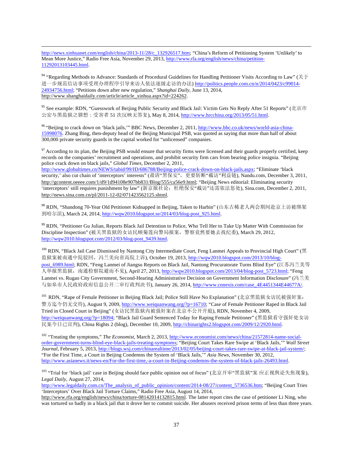!!!!!!!!!!!!!!!!!!!!!!!!!!!!!!!!!!!!!!!!!!!!!!!!!!!!!!!!!!!!!!!!!!!!!!!!!!!!!!!!!!!!!!!!!!!!!!!!!!!!!!!!!!!!!!!!!!!!!!!!!!!!!!!!!!!!!!!!!!!!!!!!!!!!!!!!!!!!!!!!!!!!!!!!!!!!!!!!!! http://news.xinhuanet.com/english/china/2013-11/28/c\_132926517.htm; "China's Reform of Petitioning System 'Unlikely' to Mean More Justice," Radio Free Asia, November 29, 2013, http://www.rfa.org/english/news/china/petition-11292013103445.html.

<sup>94</sup> "Regarding Methods to Advance: Standards of Procedural Guidelines for Handling Petitioner Visits According to Law" ( $\H\oplus\H$ ǿ ňǘLJFǦ&ȡzźdźƕÙàÃķǦ/@ŚȃơdzǦƄdŚ) http://politics.people.com.cn/n/2014/0423/c99014- 24934756.html; "Petitions down after new regulation," *Shanghai Daily*, June 13, 2014, http://www.shanghaidaily.com/article/article\_xinhua.aspx?id=224262.

<sup>95</sup> See example: RDN, "Guesswork of Beijing Public Security and Black Jail: Victim Gets No Reply After 51 Reports" (北京市 公安与黑监狱之猜想:受害者 51 次反映无答复), May 8, 2014, http://www.hrcchina.org/2013/05/51.html.

<sup>96</sup> "Beijing to crack down on 'black jails,'" BBC News, December 2, 2011, http://www.bbc.co.uk/news/world-asia-china-15998076. Zhang Bing, then-deputy head of the Beijing Municipal PSB, was quoted as saying that more than half of about 300,000 private security guards in the capital worked for "unlicensed" companies.

 $97$  According to its plan, the Beijing PSB would ensure that security firms were licensed and their guards properly certified, keep records on the companies' recruitment and operations, and prohibit security firm cars from bearing police insignia. "Beijing police crack down on black jails," *Global Times*, December 2, 2011, http://www.globaltimes.cn/NEWS/tabid/99/ID/686788/Beijing-police-crack-down-on-black-jails.aspx; "Eliminate 'black security,' also cut chain of 'interceptors' interests" (肃清"黑保安", 更要斩断"截访"利益链), Nandu.com, December 3, 2011, http://gcontent.oeeee.com/1/d9/1d94108e907bb831/Blog/555/ca56e9.html; "Beijing News editorial: Eliminating security 'interceptors' still requires punishment by law" (新京报社论: 杜绝保安"截访"还需依法惩处), Sina.com, December 2, 2011, http://news.sina.com.cn/pl/2011-12-02/071423562125.shtml.

<sup>98</sup> RDN, "Shandong 70-Year Old Petitioner Kidnapped in Beijing, Taken to Harbin" (山东古稀老人两会期间赴京上访被绑架 到哈尔滨), March 24, 2014, http://wqw2010.blogspot.se/2014/03/blog-post\_925.html.

<sup>99</sup> RDN, "Petitioner Gu Julian, Reports Black Jail Detention to Police, Who Tell Her to Take Up Matter With Commission for Discipline Inspection" (被关黑监狱的女访民顾菊莲向警局报案, 警察竟然要她去找纪委), March 29, 2012, http://wqw2010.blogspot.com/2012/03/blog-post\_9439.html.

100 RDN, "Black Jail Case Dismissed by Nantong City Intermediate Court, Feng Lanmei Appeals to Provincial High Court" (黑 监狱案被南通中院驳回, 冯兰美向省高院上诉), October 19, 2013, http://wqw2010.blogspot.com/2013/10/blogpost\_6989.html; RDN, "Feng Lanmei of Jiangsu Reports on Black Jail, Nantong Procuratorate Turns Blind Eye" (江苏冯兰美等 人举报黑监狱, 南通检察院避而不见), April 27, 2013, http://wqw2010.blogspot.com/2013/04/blog-post\_5723.html; "Feng Lanmei vs. Rugao City Government, Second-Hearing Administrative Decision on Government Information Disclosure" ( $\ddot{\theta} \stackrel{\text{d}}{=} \ddot{\theta}$ 与如皋市人民政府政府信息公开二审行政判决书), January 26, 2014, http://www.cnnexis.com/case\_4E4451344E44677A/.

<sup>101</sup> RDN, "Rape of Female Petitioner in Beijing Black Jail; Police Still Have No Explanation" (北京黑监狱女访民被强奸案: 警方迄今仍无交待), August 9, 2009, http://www.weiquanwang.org/?p=16710; "Case of Female Petitioner Raped in Black Jail Tried in Closed Court in Beijing" (女访民黑监狱内被强奸案在北京不公开开庭), RDN, November 4, 2009, http://weiquanwang.org/?p=18094; "Black Jail Guard Sentenced Today for Raping Female Petitioner" (黑监狱看守强奸处女访 民案今日已宣判), China Rights 2 (blog), December 10, 2009, http://chinarights2.blogspot.com/2009/12/2920.html.

<sup>102</sup> "Treating the symptoms," *The Economist*, March 2, 2013, http://www.economist.com/news/china/21572814-name-socialorder-government-turns-blind-eye-black-jails-treating-symptoms; "Beijing Court Takes Rare Swipe at 'Black Jails,'" *Wall Street Journal*, February 5, 2013, http://blogs.wsj.com/chinarealtime/2013/02/05/beijing-court-takes-rare-swipe-at-black-jail-system/; "For the First Time, a Court in Beijing Condemns the System of 'Black Jails,'" *Asia News*, November 30, 2012, http://www.asianews.it/news-en/For-the-first-time,-a-court-in-Beijing-condemns-the-system-of-black-jails-26493.html.

103 "Trial for 'black jail' case in Beijing should face public opinion out of focus" (北京开审"黑监狱"案 应正视舆论失焦现象), *Legal Daily*, August 27, 2014,

http://www.legaldaily.com.cn/The\_analysis\_of\_public\_opinion/content/2014-08/27/content\_5736536.htm; "Beijing Court Tries 'Interceptors' Over Black Jail Torture Claims," Radio Free Asia, August 14, 2014,

http://www.rfa.org/english/news/china/torture-08142014132815.html. The latter report cites the case of petitioner Li Ning, who was tortured so badly in a black jail that it drove her to commit suicide. Her abusers received prison terms of less than three years.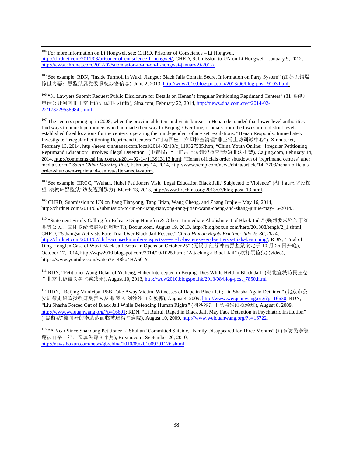<sup>104</sup> For more information on Li Hongwei, see: CHRD, Prisoner of Conscience – Li Hongwei, http://chrdnet.com/2011/03/prisoner-of-conscience-li-hongwei/; CHRD, Submission to UN on Li Hongwei – January 9, 2012, http://www.chrdnet.com/2012/02/submission-to-un-on-li-hongwei-january-9-2012/;

!!!!!!!!!!!!!!!!!!!!!!!!!!!!!!!!!!!!!!!!!!!!!!!!!!!!!!!!!!!!!!!!!!!!!!!!!!!!!!!!!!!!!!!!!!!!!!!!!!!!!!!!!!!!!!!!!!!!!!!!!!!!!!!!!!!!!!!!!!!!!!!!!!!!!!!!!!!!!!!!!!!!!!!!!!!!!!!!!!

 $105$  See example: RDN, "Inside Turmoil in Wuxi, Jiangsu: Black Jails Contain Secret Information on Party System" (江苏无锡爆 惊世内幕: 黑监狱属党委系统涉密信息), June 2, 2013, http://wqw2010.blogspot.com/2013/06/blog-post\_9103.html.

<sup>106</sup> "31 Lawyers Submit Request Public Disclosure for Details on Henan's Irregular Petitioning Reprimand Centers" (31 名律师 申请公开河南非正常上访训诫中心详情), Sina.com, February 22, 2014, http://news.sina.com.cn/c/2014-02-22/173229538984.shtml.

 $107$  The centers sprang up in 2008, when the provincial letters and visits bureau in Henan demanded that lower-level authorities find ways to punish petitioners who had made their way to Beijing. Over time, officials from the township to district levels established fixed locations for the centers, operating them independent of any set regulations. "Henan Responds: Immediately Investigate 'Irregular Petitioning Reprimand Centers'" (河南回应: 立即排查清理"非正常上访训诫中心"), Xinhua.net, February 13, 2014, http://news.xinhuanet.com/local/2014-02/13/c\_119327535.htm; "China Youth Online: 'Irregular Petitioning Reprimand Education' Involves Illegal Detention" (中青报: "非正常上访训诫教育"涉嫌非法拘禁), Caijing.com, February 14, 2014, http://comments.caijing.com.cn/2014-02-14/113913113.html; "Henan officials order shutdown of 'reprimand centres' after media storm," *South China Morning Post*, February 14, 2014, http://www.scmp.com/news/china/article/1427703/henan-officialsorder-shutdown-reprimand-centres-after-media-storm.

108 See example: HRCC, "Wuhan, Hubei Petitioners Visit 'Legal Education Black Jail,' Subjected to Violence" (湖北武汉访民探 望"法教班黑监狱"访友遭到暴力), March 13, 2013, http://www.hrcchina.org/2013/03/blog-post\_13.html.

<sup>109</sup> CHRD, Submission to UN on Jiang Tianyong, Tang Jitian, Wang Cheng, and Zhang Junjie – May 16, 2014, http://chrdnet.com/2014/06/submission-to-un-on-jiang-tianyong-tang-jitian-wang-cheng-and-zhang-junjie-may-16-2014/.

110 "Statement Firmly Calling for Release Ding Hongfen & Others, Immediate Abolishment of Black Jails" (强烈要求释放丁红 芬等公民、立即取缔黑监狱的呼吁书), Boxun.com, August 19, 2013, http://blog.boxun.com/hero/201308/tengb/2\_1.shtml; CHRD, **"**5 Jiangsu Activists Face Trial Over Black Jail Rescue," *China Human Rights Briefing: July 25-30, 2014*, http://chrdnet.com/2014/07/chrb-accused-murder-suspects-severely-beaten-several-activists-trials-beginning/; RDN, "Trial of Ding Hongfen Case of Wuxi Black Jail Break-in Opens on October 25" (无锡丁红芬冲击黑监狱案定于 10 月 25 日开庭), October 17, 2014, http://wqw2010.blogspot.com/2014/10/1025.html; "Attacking a Black Jail" (攻打黑监狱) (video), https://www.youtube.com/watch?v=48ko4HA60-Y.

<sup>111</sup> RDN, "Petitioner Wang Delan of Yicheng, Hubei Intercepted in Beijing, Dies While Held in Black Jail" (湖北宜城访民王德 兰北京上访被关黑监狱致死), August 10, 2013, http://wqw2010.blogspot.hk/2013/08/blog-post\_7850.html.

<sup>112</sup> RDN, "Beijing Municipal PSB Take Away Victim, Witnesses of Rape in Black Jail; Liu Shasha Again Detained" (北京市公 安局带走黑监狱强奸受害人及 报案人 刘沙沙再次被抓), August 4, 2009, http://www.weiquanwang.org/?p=16630; RDN, "Liu Shasha Forced Out of Black Jail While Defending Human Rights" (刘沙沙冲出黑监狱维权经过), August 8, 2009, http://www.weiquanwang.org/?p=16691; RDN, "Li Ruirui, Raped in Black Jail, May Face Detention in Psychiatric Institution" ("黑监狱"被强奸的李蕊蕊面临被送精神病院), August 10, 2009, http://www.weiquanwang.org/?p=16722.

113 "A Year Since Shandong Petitioner Li Shulian 'Committed Suicide,' Family Disappeared for Three Months" (山东访民李淑 莲被自杀一年,亲属失踪 3 个月), Boxun.com, September 20, 2010, http://news.boxun.com/news/gb/china/2010/09/201009201126.shtml.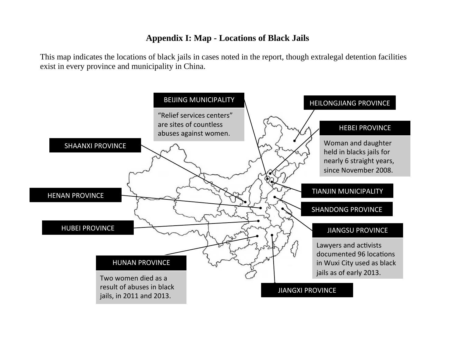# **Appendix I: Map - Locations of Black Jails**

This map indicates the locations of black jails in cases noted in the report, though extralegal detention facilities exist in every province and municipality in China.

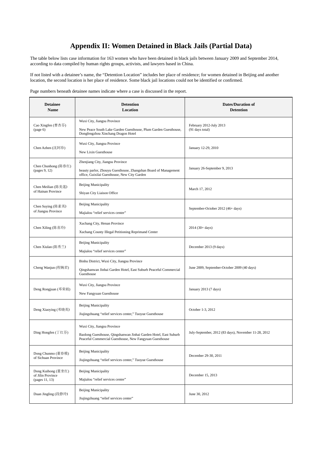# **Appendix II: Women Detained in Black Jails (Partial Data)**

The table below lists case information for 163 women who have been detained in black jails between January 2009 and September 2014, according to data compiled by human rights groups, activists, and lawyers based in China.

If not listed with a detainee's name, the "Detention Location" includes her place of residence; for women detained in Beijing and another location, the second location is her place of residence. Some black jail locations could not be identified or confirmed.

Page numbers beneath detainee names indicate where a case is discussed in the report.

| <b>Detainee</b><br><b>Name</b>                            | <b>Detention</b><br>Location                                                                                                                               | <b>Dates/Duration of</b><br><b>Detention</b>         |
|-----------------------------------------------------------|------------------------------------------------------------------------------------------------------------------------------------------------------------|------------------------------------------------------|
| Cao Xingfen (曹杏芬)<br>(page 6)                             | Wuxi City, Jiangsu Province<br>New Peace South Lake Garden Guesthouse, Plum Garden Guesthouse,<br>Dongfengzhou Xinchang Dragon Hotel                       | February 2012-July 2013<br>(91 days total)           |
| Chen Azhen (沈阿珍)                                          | Wuxi City, Jiangsu Province<br>New Lixin Guesthouse                                                                                                        | January 12-29, 2010                                  |
| Chen Chunhong (陈春红)<br>(pages 9, 12)                      | Zhenjiang City, Jiangsu Province<br>beauty parlor, Zhouyu Guesthouse, Zhangshan Board of Management<br>office, Guixilai Guesthouse, New City Garden        | January 26-September 9, 2013                         |
| Chen Meilian (陈美莲)<br>of Hainan Province                  | <b>Beijing Municipality</b><br>Shiyan City Liaison Office                                                                                                  | March 17, 2012                                       |
| Chen Suying (陈素英)<br>of Jiangsu Province                  | <b>Beijing Municipality</b><br>Majialou "relief services center"                                                                                           | September-October 2012 (46+ days)                    |
| Chen Xiling (陈喜玲)                                         | Xuchang City, Henan Province<br>Xuchang County Illegal Petitioning Reprimand Center                                                                        | $2014(30+days)$                                      |
| Chen Xiulan (陈秀兰)                                         | <b>Beijing Municipality</b><br>Majialou "relief services center"                                                                                           | December 2013 (9 days)                               |
| Cheng Wanjun (程婉君)                                        | Binhu District, Wuxi City, Jiangsu Province<br>Qingshanwan Jinhai Garden Hotel, East Suburb Peaceful Commercial<br>Guesthouse                              | June 2009, September-October 2009 (40 days)          |
| Deng Rongjuan (邓荣娟)                                       | Wuxi City, Jiangsu Province<br>New Fangyuan Guesthouse                                                                                                     | January 2013 (7 days)                                |
| Deng Xiaoying (邓晓英)                                       | <b>Beijing Municipality</b><br>Jiujingzhuang "relief services center," Tuoyue Guesthouse                                                                   | October 1-3, 2012                                    |
| Ding Hongfen (丁红芬)                                        | Wuxi City, Jiangsu Province<br>Baolong Guesthouse, Qingshanwan Jinhai Garden Hotel, East Suburb<br>Peaceful Commercial Guesthouse, New Fangyuan Guesthouse | July-September, 2012 (83 days), November 11-28, 2012 |
| Dong Chunmo (董春模)<br>of Sichuan Province                  | <b>Beijing Municipality</b><br>Jiujingzhuang "relief services center," Tuoyue Guesthouse                                                                   | December 29-30, 2011                                 |
| Dong Kuihong (董奎红)<br>of Jilin Province<br>(pages 11, 13) | <b>Beijing Municipality</b><br>Majialou "relief services center"                                                                                           | December 15, 2013                                    |
| Duan Jingling (段静玲)                                       | <b>Beijing Municipality</b><br>Jiujingzhuang "relief services center"                                                                                      | June 30, 2012                                        |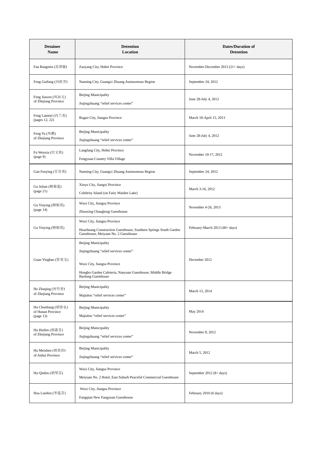| <b>Detainee</b><br>Name                              | <b>Detention</b><br><b>Location</b>                                                                                                                                                             | <b>Dates/Duration of</b><br><b>Detention</b> |
|------------------------------------------------------|-------------------------------------------------------------------------------------------------------------------------------------------------------------------------------------------------|----------------------------------------------|
| Fan Bangmin (范帮敏)                                    | Zaoyang City, Hubei Province                                                                                                                                                                    | November-December 2013 (21+ days)            |
| Feng Guifang (冯桂芳)                                   | Nanning City, Guangxi Zhuang Autonomous Region                                                                                                                                                  | September 24, 2012                           |
| Feng Jiawen (凤加文)<br>of Zhejiang Province            | <b>Beijing Municipality</b><br>Jiujingzhuang "relief services center"                                                                                                                           | June 28-July 4, 2012                         |
| Feng Lanmei (冯兰美)<br>(pages 12, 22)                  | Rugao City, Jiangsu Province                                                                                                                                                                    | March 18-April 15, 2013                      |
| Feng Ya (凤雅)<br>of Zhejiang Province                 | <b>Beijing Municipality</b><br>Jiujingzhuang "relief services center"                                                                                                                           | June 28-July 4, 2012                         |
| Fu Wenxia (付文侠)<br>(page 9)                          | Langfang City, Hebei Province<br>Fengyuan Country Villa Village                                                                                                                                 | November 10-17, 2012                         |
| Gan Fenying (甘芬英)                                    | Nanning City, Guangxi Zhuang Autonomous Region                                                                                                                                                  | September 24, 2012                           |
| Gu Julian (顾菊莲)<br>(page 21)                         | Xinyu City, Jiangxi Province<br>Celebrity Island (on Fairy Maiden Lake)                                                                                                                         | March 3-16, 2012                             |
| Gu Yinying (顾银英)<br>(page 14)                        | Wuxi City, Jiangsu Province<br>Zhouxing Changlong Guesthouse                                                                                                                                    | November 4-26, 2013                          |
| Gu Yinying (顾银英)                                     | Wuxi City, Jiangsu Province<br>Huazhuang Construction Guesthouse, Southern Springs South Garden<br>Guesthouse, Meiyuan No. 2 Guesthouse                                                         | February-March 2013 (40+ days)               |
| Guan Yingbao (管英宝)                                   | <b>Beijing Municipality</b><br>Jiujingzhuang "relief services center"<br>Wuxi City, Jiangsu Province<br>Hongbo Garden Cafeteria, Nanyuan Guesthouse, Middle Bridge<br><b>Baolong Guesthouse</b> | December 2012                                |
| He Zhuqing (何竹青)<br>of Zhejiang Province             | <b>Beijing Municipality</b><br>Majialou "relief services center"                                                                                                                                | March 13, 2014                               |
| Hu Chunliang (胡春良)<br>of Hunan Province<br>(page 13) | <b>Beijing Municipality</b><br>Majialou "relief services center"                                                                                                                                | May 2014                                     |
| Hu Huifen (胡惠芬)<br>of Zhejiang Province              | <b>Beijing Municipality</b><br>Jiujingzhuang "relief services center"                                                                                                                           | November 8, 2012                             |
| Hu Meizhen (胡美珍)<br>of Anhui Province                | <b>Beijing Municipality</b><br>Jiujingzhuang "relief services center"                                                                                                                           | March 5, 2012                                |
| Hu Qinfen (胡琴芬)                                      | Wuxi City, Jiangsu Province<br>Meiyuan No. 2 Hotel, East Suburb Peaceful Commercial Guesthouse                                                                                                  | September 2012 (8+ days)                     |
| Hua Lianfen (华莲芬)                                    | Wuxi City, Jiangsu Province<br>Fangqian New Fangyuan Guesthouse                                                                                                                                 | February 2010 (6 days)                       |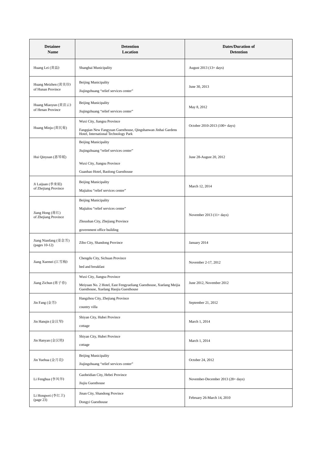| <b>Detainee</b><br>Name                  | <b>Detention</b><br>Location                                                                                                              | <b>Dates/Duration of</b><br><b>Detention</b> |
|------------------------------------------|-------------------------------------------------------------------------------------------------------------------------------------------|----------------------------------------------|
| Huang Lei (黄磊)                           | Shanghai Municipality                                                                                                                     | August 2013 (13+ days)                       |
| Huang Meizhen (黄美珍)<br>of Hunan Province | <b>Beijing Municipality</b><br>Jiujingzhuang "relief services center"                                                                     | June 30, 2013                                |
| Huang Miaoyun (黄苗云)<br>of Henan Province | <b>Beijing Municipality</b><br>Jiujingzhuang "relief services center"                                                                     | May 8, 2012                                  |
| Huang Minju (黄民菊)                        | Wuxi City, Jiangsu Province<br>Fangqian New Fangyuan Guesthouse, Qingshanwan Jinhai Gardens<br>Hotel, International Technology Park       | October 2010-2013 (100+ days)                |
| Hui Qinyuan (惠琴媛)                        | Beijing Municipality<br>Jiujingzhuang "relief services center"<br>Wuxi City, Jiangsu Province<br>Guanhao Hotel, Baolong Guesthouse        | June 28-August 20, 2012                      |
| Ji Laijuan (季来娟)<br>of Zhejiang Province | Beijing Municipality<br>Majialou "relief services center"                                                                                 | March 12, 2014                               |
| Jiang Hong (蒋红)<br>of Zhejiang Province  | <b>Beijing Municipality</b><br>Majialou "relief services center"<br>Zhoushan City, Zhejiang Province<br>government office building        | November $2013(11 + days)$                   |
| Jiang Nianfang (姜念芳)<br>(pages 10-12)    | Zibo City, Shandong Province                                                                                                              | January 2014                                 |
| Jiang Xuemei (江雪梅)                       | Chengdu City, Sichuan Province<br>bed and breakfast                                                                                       | November 2-17, 2012                          |
| Jiang Zichun (蒋子春)                       | Wuxi City, Jiangsu Province<br>Meiyuan No. 2 Hotel, East Fengyueliang Guesthouse, Xuelang Meijia<br>Guesthouse, Xuelang Haojia Guesthouse | June 2012, November 2012                     |
| Jin Fang (金芳)                            | Hangzhou City, Zhejiang Province<br>country villa                                                                                         | September 21, 2012                           |
| Jin Hanqin (金汉琴)                         | Shiyan City, Hubei Province<br>cottage                                                                                                    | March 1, 2014                                |
| Jin Hanyan (金汉艳)                         | Shiyan City, Hubei Province<br>cottage                                                                                                    | March 1, 2014                                |
| Jin Yuehua (金月花)                         | <b>Beijing Municipality</b><br>Jiujingzhuang "relief services center"                                                                     | October 24, 2012                             |
| Li Fenghua (李凤华)                         | Gaobeidian City, Hebei Province<br>Jiujiu Guesthouse                                                                                      | November-December 2013 (28+ days)            |
| Li Hongwei (李红卫)<br>(page 23)            | Jinan City, Shandong Province<br>Dongyi Guesthouse                                                                                        | February 26-March 14, 2010                   |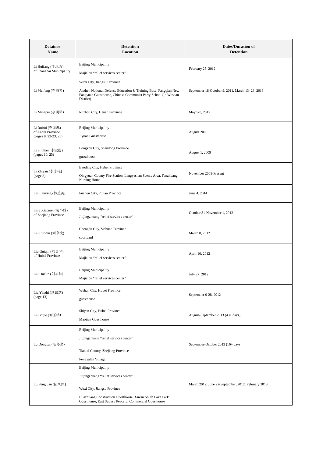| <b>Detainee</b><br>Name                                      | <b>Detention</b><br>Location                                                                                                                                                                                                | <b>Dates/Duration of</b><br><b>Detention</b>       |
|--------------------------------------------------------------|-----------------------------------------------------------------------------------------------------------------------------------------------------------------------------------------------------------------------------|----------------------------------------------------|
| Li Huifang (李惠芳)<br>of Shanghai Municipality                 | <b>Beijing Municipality</b><br>Majialou "relief services center"                                                                                                                                                            | February 25, 2012                                  |
| Li Meifang (李梅芳)                                             | Wuxi City, Jiangsu Province<br>Anzhen National Defense Education & Training Base, Fangqian New<br>Fangyuan Guesthouse, Chinese Communist Party School (in Wushan<br>District)                                               | September 18-October 9, 2011, March 13-23, 2013    |
| Li Mingcui (李明翠)                                             | Ruzhou City, Henan Province                                                                                                                                                                                                 | May 5-8, 2012                                      |
| Li Ruirui (李蕊蕊)<br>of Anhui Province<br>(pages 9, 22-23, 25) | <b>Beijing Municipality</b><br>Jiyuan Guesthouse                                                                                                                                                                            | August 2009                                        |
| Li Shulian (李淑莲)<br>(pages 10, 25)                           | Longkou City, Shandong Province<br>guesthouse                                                                                                                                                                               | August 1, 2009                                     |
| Li Zhiyan (李志艳)<br>(page 8)                                  | Baoding City, Hebei Province<br>Qingyuan County Fire Station, Langyashan Scenic Area, Fanzhuang<br>Nursing Home                                                                                                             | November 2008-Present                              |
| Lin Lanying (林兰英)                                            | Fuzhou City, Fujian Province                                                                                                                                                                                                | June 4, 2014                                       |
| Ling Xiaomei (凌小妹)<br>of Zhejiang Province                   | <b>Beijing Municipality</b><br>Jiujingzhuang "relief services center"                                                                                                                                                       | October 31-November 1, 2012                        |
| Liu Cunqin (刘存钦)                                             | Chengdu City, Sichuan Province<br>courtyard                                                                                                                                                                                 | March 8, 2012                                      |
| Liu Guiqin (刘贵琴)<br>of Hubei Province                        | <b>Beijing Municipality</b><br>Majialou "relief services center"                                                                                                                                                            | April 10, 2012                                     |
| Liu Hualin (刘华琳)                                             | <b>Beijing Municipality</b><br>Majialou "relief services center"                                                                                                                                                            | July 27, 2012                                      |
| Liu Yinzhi (刘银芝)<br>(page 13)                                | Wuhan City, Hubei Province<br>guesthouse                                                                                                                                                                                    | September 9-28, 2012                               |
| Liu Yujie (刘玉洁)                                              | Shiyan City, Hubei Province<br>Maojian Guesthouse                                                                                                                                                                           | August-September 2013 (43+ days)                   |
| Lu Dongcai (陆冬菜)                                             | <b>Beijing Municipality</b><br>Jiujingzhuang "relief services center"<br>Tiantai County, Zhejiang Province<br>Fengyalan Village                                                                                             | September-October 2013 (16+ days)                  |
| Lu Fengjuan (陆凤娟)                                            | <b>Beijing Municipality</b><br>Jiujingzhuang "relief services center"<br>Wuxi City, Jiangsu Province<br>Huazhuang Construction Guesthouse, Xin'an South Lake Park<br>Guesthouse, East Suburb Peaceful Commercial Guesthouse | March 2012, June 22-September, 2012, February 2013 |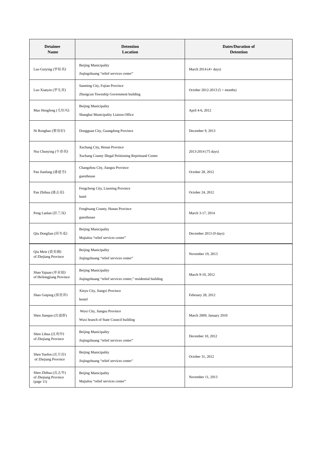| <b>Detainee</b><br>Name                                | <b>Detention</b><br>Location                                                                | <b>Dates/Duration of</b><br><b>Detention</b> |
|--------------------------------------------------------|---------------------------------------------------------------------------------------------|----------------------------------------------|
| Luo Guiying (罗桂英)                                      | <b>Beijing Municipality</b><br>Jiujingzhuang "relief services center"                       | March $2014(4 + days)$                       |
| Luo Xianyin (罗先英)                                      | Sanming City, Fujian Province<br>Zhongcun Township Government building                      | October 2012-2013 $(5 + months)$             |
| Mao Hengfeng (毛恒风)                                     | <b>Beijing Municipality</b><br>Shanghai Municipality Liaison Office                         | April 4-6, 2012                              |
| Ni Ronghao (黎容好)                                       | Dongguan City, Guangdong Province                                                           | December 9, 2013                             |
| Niu Chunying (牛春英)                                     | Xuchang City, Henan Province<br>Xuchang County Illegal Petitioning Reprimand Center         | 2013-2014 (75 days)                          |
| Pan Jianfang (潘建芳)                                     | Changzhou City, Jiangsu Province<br>guesthouse                                              | October 28, 2012                             |
| Pan Zhihua (潘志花)                                       | Fengcheng City, Liaoning Province<br>hotel                                                  | October 24, 2012                             |
| Peng Lanlan (彭兰岚)                                      | Fenghuang County, Hunan Province<br>guesthouse                                              | March 3-17, 2014                             |
| Qiu Donglian (邱冬连)                                     | <b>Beijing Municipality</b><br>Majialou "relief services center"                            | December 2013 (9 days)                       |
| Qiu Meie (裘美娥)<br>of Zhejiang Province                 | <b>Beijing Municipality</b><br>Jiujingzhuang "relief services center"                       | November 19, 2013                            |
| Shan Yajuan (单亚娟)<br>of Heilongjiang Province          | <b>Beijing Municipality</b><br>Jiujingzhuang "relief services center," residential building | March 9-10, 2012                             |
| Shao Guiping (邵贵萍)                                     | Xinyu City, Jiangxi Province<br>hostel                                                      | February 28, 2012                            |
| Shen Jianqun (沈建群)                                     | Wuxi City, Jiangsu Province<br>Wuxi branch of State Council building                        | March 2009, January 2010                     |
| Shen Lihua (沈利华)<br>of Zhejiang Province               | <b>Beijing Municipality</b><br>Jiujingzhuang "relief services center"                       | December 10, 2012                            |
| Shen Yuefen (沈月份)<br>of Zhejiang Province              | <b>Beijing Municipality</b><br>Jiujingzhuang "relief services center"                       | October 31, 2012                             |
| Shen Zhihua (沈志华)<br>of Zhejiang Province<br>(page 11) | <b>Beijing Municipality</b><br>Majialou "relief services center"                            | November 11, 2013                            |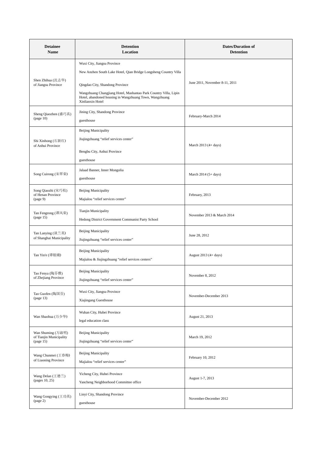| <b>Detainee</b><br><b>Name</b>                            | <b>Detention</b><br>Location                                                                                                                                                                                                                                                          | <b>Dates/Duration of</b><br><b>Detention</b> |
|-----------------------------------------------------------|---------------------------------------------------------------------------------------------------------------------------------------------------------------------------------------------------------------------------------------------------------------------------------------|----------------------------------------------|
| Shen Zhihua (沈志华)<br>of Jiangsu Province                  | Wuxi City, Jiangsu Province<br>New Anzhen South Lake Hotel, Qian Bridge Longsheng Country Villa<br>Qingdao City, Shandong Province<br>Wangzhuang Changjiang Hotel, Mashantao Park Country Villa, Lipin<br>Hotel, abandoned housing in Wangzhuang Town, Wangzhuang<br>Xinlianxin Hotel | June 2011, November 8-11, 2011               |
| Sheng Qiaozhen (盛巧真)<br>page 10)                          | Jining City, Shandong Province<br>guesthouse                                                                                                                                                                                                                                          | February-March 2014                          |
| Shi Xinhong (石新红)<br>of Anhui Province                    | <b>Beijing Municipality</b><br>Jiujingzhuang "relief services center"<br>Bengbu City, Anhui Province<br>guesthouse                                                                                                                                                                    | March 2013 (4+ days)                         |
| Song Cuirong (宋翠荣)                                        | Jalaad Banner, Inner Mongolia<br>guesthouse                                                                                                                                                                                                                                           | March $2014(5 + days)$                       |
| Song Qiaozhi (宋巧枝)<br>of Henan Province<br>(page 9)       | <b>Beijing Municipality</b><br>Majialou "relief services center"                                                                                                                                                                                                                      | February, 2013                               |
| Tan Fengrong (谭风荣)<br>(page 15)                           | Tianjin Municipality<br>Hedong District Government Communist Party School                                                                                                                                                                                                             | November 2013 & March 2014                   |
| Tan Lanying (谈兰英)<br>of Shanghai Municipality             | <b>Beijing Municipality</b><br>Jiujingzhuang "relief services center"                                                                                                                                                                                                                 | June 28, 2012                                |
| Tan Yin'e (谭银娥)                                           | <b>Beijing Municipality</b><br>Majialou & Jiujingzhuang "relief services centers"                                                                                                                                                                                                     | August $2013(4 + days)$                      |
| Tao Fenya (陶芬雅)<br>of Zhejiang Province                   | <b>Beijing Municipality</b><br>Jiujingzhuang "relief services center"                                                                                                                                                                                                                 | November 8, 2012                             |
| Tao Guofen (陶国芬)<br>(page 13)                             | Wuxi City, Jiangsu Province<br>Xiajingang Guesthouse                                                                                                                                                                                                                                  | November-December 2013                       |
| Wan Shaohua (万少华)                                         | Wuhan City, Hubei Province<br>legal education class                                                                                                                                                                                                                                   | August 21, 2013                              |
| Wan Shuming (万淑明)<br>of Tianjin Municipality<br>(page 15) | <b>Beijing Municipality</b><br>Jiujingzhuang "relief services center"                                                                                                                                                                                                                 | March 19, 2012                               |
| Wang Chunmei (王春梅)<br>of Liaoning Province                | <b>Beijing Municipality</b><br>Majialou "relief services center"                                                                                                                                                                                                                      | February 10, 2012                            |
| Wang Delan (王德兰)<br>(pages 10, 25)                        | Yicheng City, Hubei Province<br>Yancheng Neighborhood Committee office                                                                                                                                                                                                                | August 1-7, 2013                             |
| Wang Gongying (王功英)<br>(page 2)                           | Linyi City, Shandong Province<br>guesthouse                                                                                                                                                                                                                                           | November-December 2012                       |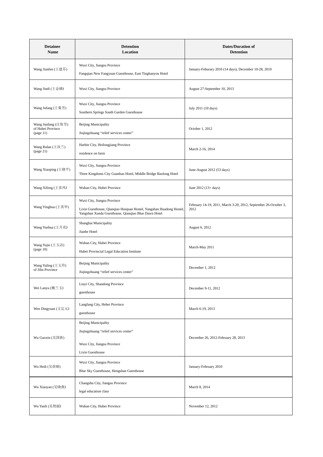| <b>Detainee</b><br>Name                              | <b>Detention</b><br>Location                                                                                                                              | <b>Dates/Duration of</b><br><b>Detention</b>                            |
|------------------------------------------------------|-----------------------------------------------------------------------------------------------------------------------------------------------------------|-------------------------------------------------------------------------|
| Wang Jianfen (王建芬)                                   | Wuxi City, Jiangsu Province<br>Fangqian New Fangyuan Guesthouse, East Tinghanyou Hotel                                                                    | January-Feburary 2010 (14 days), December 10-28, 2010                   |
| Wang Jindi (王金娣)                                     | Wuxi City, Jiangsu Province                                                                                                                               | August 27-September 10, 2013                                            |
| Wang Jufang (王菊芳)                                    | Wuxi City, Jiangsu Province<br>Southern Springs South Garden Guesthouse                                                                                   | July 2011 (10 days)                                                     |
| Wang Junfang (汪俊芳)<br>of Hubei Province<br>(page 11) | <b>Beijing Municipality</b><br>Jiujingzhuang "relief services center"                                                                                     | October 1, 2012                                                         |
| Wang Rulan (王汝兰)<br>(page 21)                        | Harbin City, Heilongjiang Province<br>residence on farm                                                                                                   | March 2-16, 2014                                                        |
| Wang Xiaoping (王晓平)                                  | Wuxi City, Jiangsu Province<br>Three Kingdoms City Guanhao Hotel, Middle Bridge Baolong Hotel                                                             | June-August 2012 (53 days)                                              |
| Wang Xifeng (王喜凤)                                    | Wuhan City, Hubei Province                                                                                                                                | June 2012 (13+ days)                                                    |
| Wang Yinghua (王英华)                                   | Wuxi City, Jiangsu Province<br>Lixin Guesthouse, Qianqiao Huiquan Hostel, Yangshan Huadong Hostel,<br>Yangshan Xunda Guesthouse, Qianqiao Blue Dawn Hotel | February 14-19, 2011, March 3-20, 2012, September 26-October 3,<br>2012 |
| Wang Yuehua (王月花)                                    | Shanghai Municipality<br>Jianhe Hotel                                                                                                                     | August 6, 2012                                                          |
| Wang Yujie (王玉洁)<br>page 10)                         | Wuhan City, Hubei Province<br>Hubei Provincial Legal Education Institute                                                                                  | March-May 2011                                                          |
| Wang Yuling (王玉玲)<br>of Jilin Province               | <b>Beijing Municipality</b><br>Jiujingzhuang "relief services center"                                                                                     | December 1, 2012                                                        |
| Wei Lanyu (魏兰玉)                                      | Linyi City, Shandong Province<br>guesthouse                                                                                                               | December 9-11, 2012                                                     |
| Wen Dingyuan (文定元)                                   | Langfang City, Hebei Province<br>guesthouse                                                                                                               | March 6-19, 2013                                                        |
| Wu Guoxin (吴国新)                                      | <b>Beijing Municipality</b><br>Jiujingzhuang "relief services center"<br>Wuxi City, Jiangsu Province<br>Lixin Guesthouse                                  | December 26, 2012-February 28, 2013                                     |
| Wu Hedi (吴荷娣)                                        | Wuxi City, Jiangsu Province<br>Blue Sky Guesthouse, Hengshan Guesthouse                                                                                   | January-February 2010                                                   |
| Wu Xiaoyan (吴晓燕)                                     | Changshu City, Jiangsu Province<br>legal education class                                                                                                  | March 8, 2014                                                           |
| Wu Yanli (吴艳丽)                                       | Wuhan City, Hubei Province                                                                                                                                | November 12, 2012                                                       |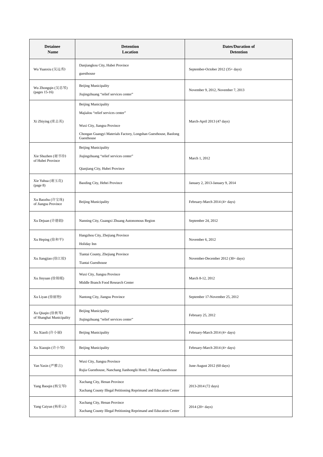| <b>Detainee</b><br>Name                     | <b>Detention</b><br>Location                                                                                                                                              | <b>Dates/Duration of</b><br><b>Detention</b> |
|---------------------------------------------|---------------------------------------------------------------------------------------------------------------------------------------------------------------------------|----------------------------------------------|
| Wu Yuanxiu (吴远秀)                            | Danjiangkou City, Hubei Province<br>guesthouse                                                                                                                            | September-October 2012 (35+ days)            |
| Wu Zhongqin (吴忠琴)<br>(pages 15-16)          | <b>Beijing Municipality</b><br>Jiujingzhuang "relief services center"                                                                                                     | November 9, 2012, November 7, 2013           |
| Xi Zhiying (席志英)                            | Beijing Municipality<br>Majialou "relief services center"<br>Wuxi City, Jiangsu Province<br>Chongan Guangyi Materials Factory, Longshan Guesthouse, Baolong<br>Guesthouse | March-April 2013 (47 days)                   |
| Xie Shuzhen (谢书珍)<br>of Hubei Province      | <b>Beijing Municipality</b><br>Jiujingzhuang "relief services center"<br>Qianjiang City, Hubei Province                                                                   | March 1, 2012                                |
| Xie Yuhua (谢玉花)<br>(page 8)                 | Baoding City, Hebei Province                                                                                                                                              | January 2, 2013-January 9, 2014              |
| Xu Baozhu (许宝珠)<br>of Jiangsu Province      | <b>Beijing Municipality</b>                                                                                                                                               | February-March 2014 (4+ days)                |
| Xu Dejuan (许德娟)                             | Nanning City, Guangxi Zhuang Autonomous Region                                                                                                                            | September 24, 2012                           |
| Xu Heping (徐和平)                             | Hangzhou City, Zhejiang Province<br>Holiday Inn                                                                                                                           | November 6, 2012                             |
| Xu Jiangjiao (徐江姣)                          | Tiantai County, Zhejiang Province<br>Tiantai Guesthouse                                                                                                                   | November-December 2012 (30+ days)            |
| Xu Jinyuan (徐锦媛)                            | Wuxi City, Jiangsu Province<br>Middle Branch Food Research Center                                                                                                         | March 8-12, 2012                             |
| Xu Liyan (徐丽艳)                              | Nantong City, Jiangsu Province                                                                                                                                            | September 17-November 25, 2012               |
| Xu Qiuqin (徐秋琴)<br>of Shanghai Municipality | <b>Beijing Municipality</b><br>Jiujingzhuang "relief services center"                                                                                                     | February 25, 2012                            |
| Xu Xiaoli (许小丽)                             | <b>Beijing Municipality</b>                                                                                                                                               | February-March 2014 (4+ days)                |
| Xu Xiaoqin (许小琴)                            | <b>Beijing Municipality</b>                                                                                                                                               | February-March 2014 (4+ days)                |
| Yan Yaxin (严雅言)                             | Wuxi City, Jiangsu Province<br>Rujia Guesthouse, Nanchang Jianhonglü Hotel, Fubang Guesthouse                                                                             | June-August 2012 (60 days)                   |
| Yang Baoqin (杨宝琴)                           | Xuchang City, Henan Province<br>Xuchang County Illegal Petitioning Reprimand and Education Center                                                                         | 2013-2014 (72 days)                          |
| Yang Caiyun (杨彩云)                           | Xuchang City, Henan Province<br>Xuchang County Illegal Petitioning Reprimand and Education Center                                                                         | $2014 (20 + days)$                           |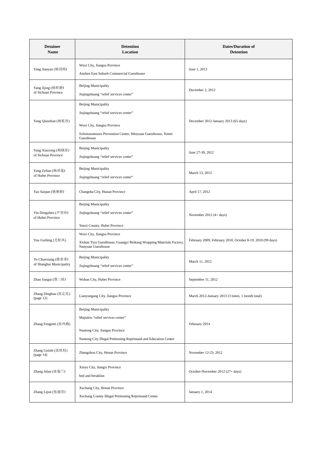| <b>Detainee</b><br>Name                        | <b>Detention</b><br>Location                                                                                                                                                       | <b>Dates/Duration of</b><br><b>Detention</b>               |
|------------------------------------------------|------------------------------------------------------------------------------------------------------------------------------------------------------------------------------------|------------------------------------------------------------|
| Yang Jianyan (杨剑艳)                             | Wuxi City, Jiangsu Province<br>Anzhen East Suburb Commercial Guesthouse                                                                                                            | June 1, 2013                                               |
| Yang Jijing (杨积静)<br>of Sichuan Province       | Beijing Municipality<br>Jiujingzhuang "relief services center"                                                                                                                     | December 2, 2012                                           |
| Yang Qianzhan (杨乾珍)                            | <b>Beijing Municipality</b><br>Jiujingzhuang "relief services center"<br>Wuxi City, Jiangsu Province<br>Schistosomiasis Prevention Center, Wenyuan Guesthouse, Ximei<br>Guesthouse | December 2012-January 2013 (65 days)                       |
| Yang Xiaoxing (杨晓星)<br>of Sichuan Province     | <b>Beijing Municipality</b><br>Jiujingzhuang "relief services center"                                                                                                              | June 27-30, 2012                                           |
| Yang Zelian (杨泽莲)<br>of Hubei Province         | Beijing Municipality<br>Jiujingzhuang "relief services center"                                                                                                                     | March 13, 2012                                             |
| Yao Saiqun (姚赛群)                               | Changsha City, Hunan Province                                                                                                                                                      | April 17, 2012                                             |
| Yin Dengzhen (尹登珍)<br>of Hubei Province        | <b>Beijing Municipality</b><br>Jiujingzhuang "relief services center"<br>Yunxi County, Hubei Province                                                                              | November 2012 (4+ days)                                    |
| You Guifeng (尤桂凤)                              | Wuxi City, Jiangsu Province<br>Xishan Tiyu Guesthouse, Guangyi Beikang Wrapping Materials Factory,<br>Nanyuan Guesthouse                                                           | February 2009, February 2010, October 8-19, 2010 (99 days) |
| Yu Chunxiang (虞春香)<br>of Shanghai Municipality | <b>Beijing Municipality</b><br>Jiujingzhuang "relief services center"                                                                                                              | March 11, 2012                                             |
| Zhan Sangui (詹三桂)                              | Wuhan City, Hubei Province                                                                                                                                                         | September 11, 2012                                         |
| Zhang Dinghua (张定花)<br>(page 12)               | Lianyungang City, Jiangsu Province                                                                                                                                                 | March 2012-January 2013 (3 times, 1 month total)           |
| Zhang Fengmei (张凤梅)                            | <b>Beijing Municipality</b><br>Majialou "relief services center"<br>Nantong City, Jiangsu Province<br>Nantong City Illegal Petitioning Reprimand and Education Center              | February 2014                                              |
| Zhang Guizhi (张桂枝)<br>(page 14)                | Zhengzhou City, Henan Province                                                                                                                                                     | November 12-23, 2012                                       |
| Zhang Julan (张菊兰)                              | Xinyu City, Jiangxi Province<br>bed and breakfast                                                                                                                                  | October-November 2012 (27+ days)                           |
| Zhang Lijun (张丽君)                              | Xuchang City, Henan Province<br>Xuchang County Illegal Petitioning Reprimand Center                                                                                                | January 1, 2014                                            |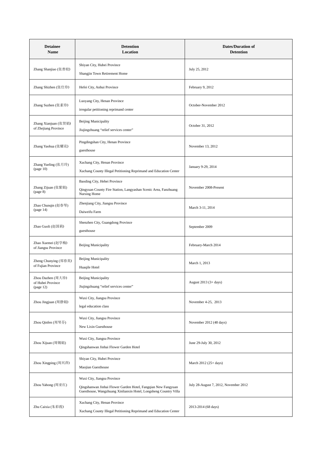| <b>Detainee</b><br>Name                             | <b>Detention</b><br>Location                                                                                                                                     | <b>Dates/Duration of</b><br><b>Detention</b> |
|-----------------------------------------------------|------------------------------------------------------------------------------------------------------------------------------------------------------------------|----------------------------------------------|
| Zhang Shanjiao (张善姣)                                | Shiyan City, Hubei Province<br>Shangjin Town Retirement Home                                                                                                     | July 25, 2012                                |
| Zhang Shizhen (张仕珍)                                 | Hefei City, Anhui Province                                                                                                                                       | February 9, 2012                             |
| Zhang Suzhen (张素珍)                                  | Luoyang City, Henan Province<br>irregular petitioning reprimand center                                                                                           | October-November 2012                        |
| Zhang Xianjuan (张贤娟)<br>of Zhejiang Province        | <b>Beijing Municipality</b><br>Jiujingzhuang "relief services center"                                                                                            | October 31, 2012                             |
| Zhang Yaohua (张耀花)                                  | Pingdingshan City, Henan Province<br>guesthouse                                                                                                                  | November 13, 2012                            |
| Zhang Yueling (张月玲)<br>(page 10)                    | Xuchang City, Henan Province<br>Xuchang County Illegal Petitioning Reprimand and Education Center                                                                | January 9-29, 2014                           |
| Zhang Zijuan (张紫娟)<br>(page 8)                      | Baoding City, Hebei Province<br>Qingyuan County Fire Station, Langyashan Scenic Area, Fanzhuang<br>Nursing Home                                                  | November 2008-Present                        |
| Zhao Chunqin (赵春琴)<br>(page 14)                     | Zhenjiang City, Jiangsu Province<br>Daiweifu Farm                                                                                                                | March 3-11, 2014                             |
| Zhao Guoli (赵国莉)                                    | Shenzhen City, Guangdong Province<br>guesthouse                                                                                                                  | September 2009                               |
| Zhao Xuemei (赵学梅)<br>of Jiangsu Province            | Beijing Municipality                                                                                                                                             | February-March 2014                          |
| Zheng Chunying (郑春英)<br>of Fujian Province          | <b>Beijing Municipality</b><br>Huaqile Hotel                                                                                                                     | March 1, 2013                                |
| Zhou Dazhen (周大珍)<br>of Hubei Province<br>(page 12) | <b>Beijing Municipality</b><br>Jiujingzhuang "relief services center"                                                                                            | August 2013 (3+ days)                        |
| Zhou Jingjuan (周静娟)                                 | Wuxi City, Jiangsu Province<br>legal education class                                                                                                             | November 4-25, 2013                          |
| Zhou Qinfen (周琴芬)                                   | Wuxi City, Jiangsu Province<br>New Lixin Guesthouse                                                                                                              | November 2012 (48 days)                      |
| Zhou Xijuan (周锡娟)                                   | Wuxi City, Jiangsu Province<br>Qingshanwan Jinhai Flower Garden Hotel                                                                                            | June 29-July 30, 2012                        |
| Zhou Xingping (周兴萍)                                 | Shiyan City, Hubei Province<br>Maojian Guesthouse                                                                                                                | March 2012 (25+ days)                        |
| Zhou Yahong (周亚红)                                   | Wuxi City, Jiangsu Province<br>Qingshanwan Jinhai Flower Garden Hotel, Fangqian New Fangyuan<br>Guesthouse, Wangzhuang Xinlianxin Hotel, Longsheng Country Villa | July 28-August 7, 2012, November 2012        |
| Zhu Caixia (朱彩霞)                                    | Xuchang City, Henan Province<br>Xuchang County Illegal Petitioning Reprimand and Education Center                                                                | 2013-2014 (68 days)                          |